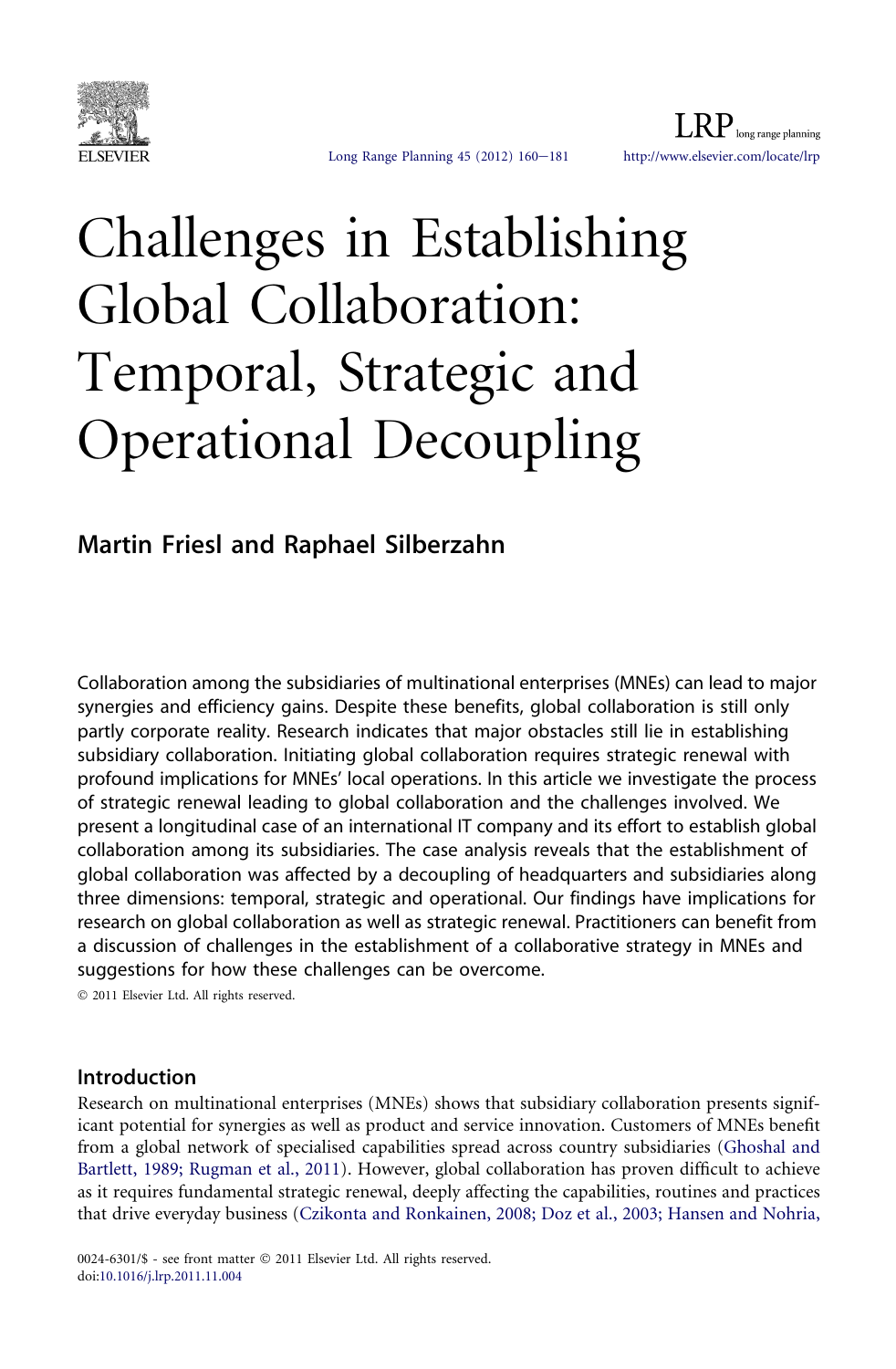

[Long Range Planning 45 \(2012\) 160](http://dx.doi.org/10.1016/j.lrp.2011.11.004)-[181](http://dx.doi.org/10.1016/j.lrp.2011.11.004) <http://www.elsevier.com/locate/lrp>

# Challenges in Establishing Global Collaboration: Temporal, Strategic and Operational Decoupling

## Martin Friesl and Raphael Silberzahn

Collaboration among the subsidiaries of multinational enterprises (MNEs) can lead to major synergies and efficiency gains. Despite these benefits, global collaboration is still only partly corporate reality. Research indicates that major obstacles still lie in establishing subsidiary collaboration. Initiating global collaboration requires strategic renewal with profound implications for MNEs' local operations. In this article we investigate the process of strategic renewal leading to global collaboration and the challenges involved. We present a longitudinal case of an international IT company and its effort to establish global collaboration among its subsidiaries. The case analysis reveals that the establishment of global collaboration was affected by a decoupling of headquarters and subsidiaries along three dimensions: temporal, strategic and operational. Our findings have implications for research on global collaboration as well as strategic renewal. Practitioners can benefit from a discussion of challenges in the establishment of a collaborative strategy in MNEs and suggestions for how these challenges can be overcome.

2011 Elsevier Ltd. All rights reserved.

#### Introduction

Research on multinational enterprises (MNEs) shows that subsidiary collaboration presents significant potential for synergies as well as product and service innovation. Customers of MNEs benefit from a global network of specialised capabilities spread across country subsidiaries ([Ghoshal and](#page-20-0) [Bartlett, 1989; Rugman et al., 2011\)](#page-20-0). However, global collaboration has proven difficult to achieve as it requires fundamental strategic renewal, deeply affecting the capabilities, routines and practices that drive everyday business ([Czikonta and Ronkainen, 2008; Doz et al., 2003; Hansen and Nohria,](#page-20-0)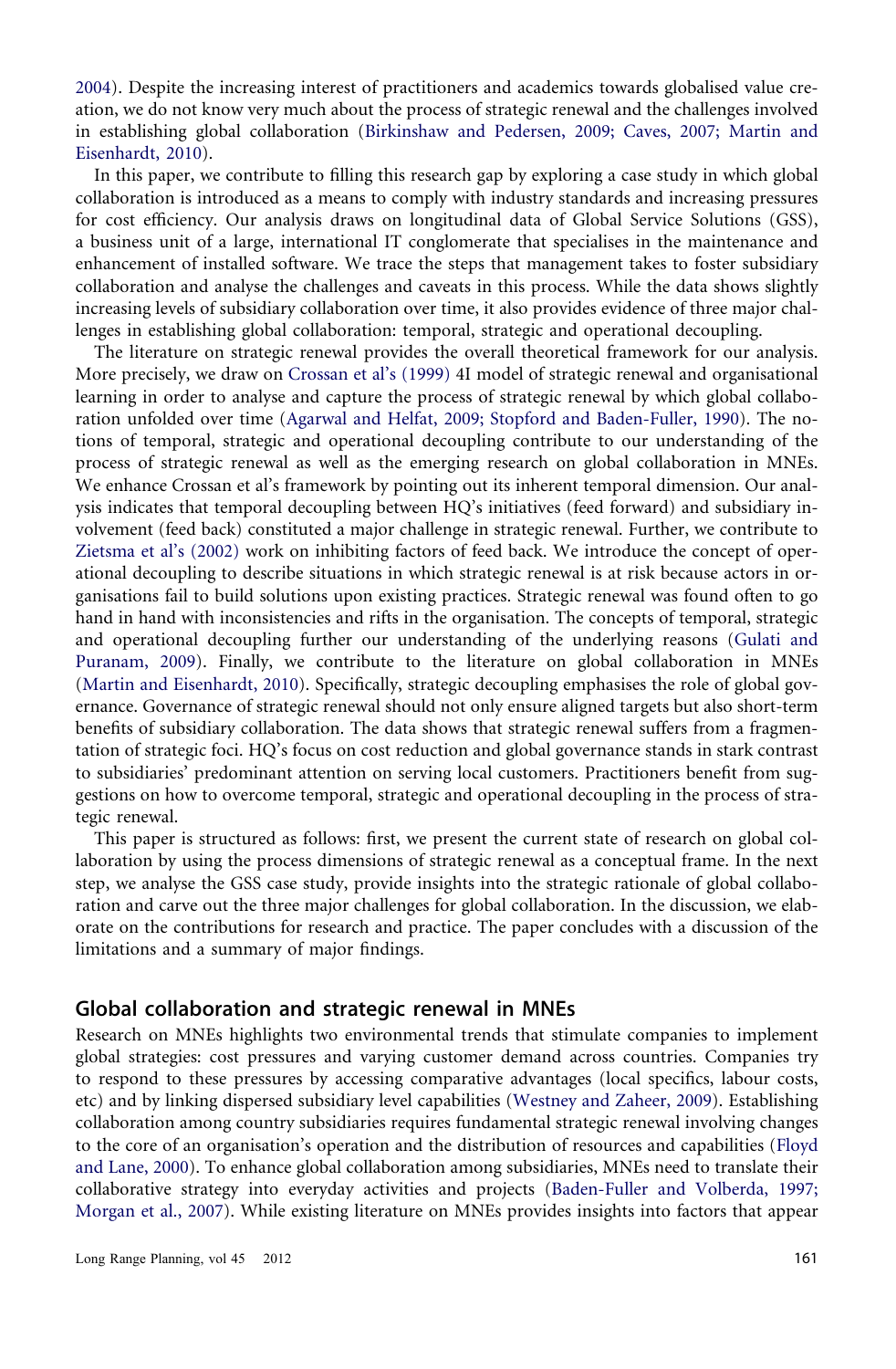[2004\)](#page-20-0). Despite the increasing interest of practitioners and academics towards globalised value creation, we do not know very much about the process of strategic renewal and the challenges involved in establishing global collaboration ([Birkinshaw and Pedersen, 2009; Caves, 2007; Martin and](#page-19-0) [Eisenhardt, 2010\)](#page-19-0).

In this paper, we contribute to filling this research gap by exploring a case study in which global collaboration is introduced as a means to comply with industry standards and increasing pressures for cost efficiency. Our analysis draws on longitudinal data of Global Service Solutions (GSS), a business unit of a large, international IT conglomerate that specialises in the maintenance and enhancement of installed software. We trace the steps that management takes to foster subsidiary collaboration and analyse the challenges and caveats in this process. While the data shows slightly increasing levels of subsidiary collaboration over time, it also provides evidence of three major challenges in establishing global collaboration: temporal, strategic and operational decoupling.

The literature on strategic renewal provides the overall theoretical framework for our analysis. More precisely, we draw on [Crossan et al's \(1999\)](#page-19-0) 4I model of strategic renewal and organisational learning in order to analyse and capture the process of strategic renewal by which global collaboration unfolded over time [\(Agarwal and Helfat, 2009; Stopford and Baden-Fuller, 1990](#page-19-0)). The notions of temporal, strategic and operational decoupling contribute to our understanding of the process of strategic renewal as well as the emerging research on global collaboration in MNEs. We enhance Crossan et al's framework by pointing out its inherent temporal dimension. Our analysis indicates that temporal decoupling between HQ's initiatives (feed forward) and subsidiary involvement (feed back) constituted a major challenge in strategic renewal. Further, we contribute to [Zietsma et al's \(2002\)](#page-21-0) work on inhibiting factors of feed back. We introduce the concept of operational decoupling to describe situations in which strategic renewal is at risk because actors in organisations fail to build solutions upon existing practices. Strategic renewal was found often to go hand in hand with inconsistencies and rifts in the organisation. The concepts of temporal, strategic and operational decoupling further our understanding of the underlying reasons ([Gulati and](#page-20-0) [Puranam, 2009](#page-20-0)). Finally, we contribute to the literature on global collaboration in MNEs [\(Martin and Eisenhardt, 2010](#page-20-0)). Specifically, strategic decoupling emphasises the role of global governance. Governance of strategic renewal should not only ensure aligned targets but also short-term benefits of subsidiary collaboration. The data shows that strategic renewal suffers from a fragmentation of strategic foci. HQ's focus on cost reduction and global governance stands in stark contrast to subsidiaries' predominant attention on serving local customers. Practitioners benefit from suggestions on how to overcome temporal, strategic and operational decoupling in the process of strategic renewal.

This paper is structured as follows: first, we present the current state of research on global collaboration by using the process dimensions of strategic renewal as a conceptual frame. In the next step, we analyse the GSS case study, provide insights into the strategic rationale of global collaboration and carve out the three major challenges for global collaboration. In the discussion, we elaborate on the contributions for research and practice. The paper concludes with a discussion of the limitations and a summary of major findings.

#### Global collaboration and strategic renewal in MNEs

Research on MNEs highlights two environmental trends that stimulate companies to implement global strategies: cost pressures and varying customer demand across countries. Companies try to respond to these pressures by accessing comparative advantages (local specifics, labour costs, etc) and by linking dispersed subsidiary level capabilities ([Westney and Zaheer, 2009\)](#page-21-0). Establishing collaboration among country subsidiaries requires fundamental strategic renewal involving changes to the core of an organisation's operation and the distribution of resources and capabilities [\(Floyd](#page-20-0) [and Lane, 2000](#page-20-0)). To enhance global collaboration among subsidiaries, MNEs need to translate their collaborative strategy into everyday activities and projects ([Baden-Fuller and Volberda, 1997;](#page-19-0) [Morgan et al., 2007\)](#page-19-0). While existing literature on MNEs provides insights into factors that appear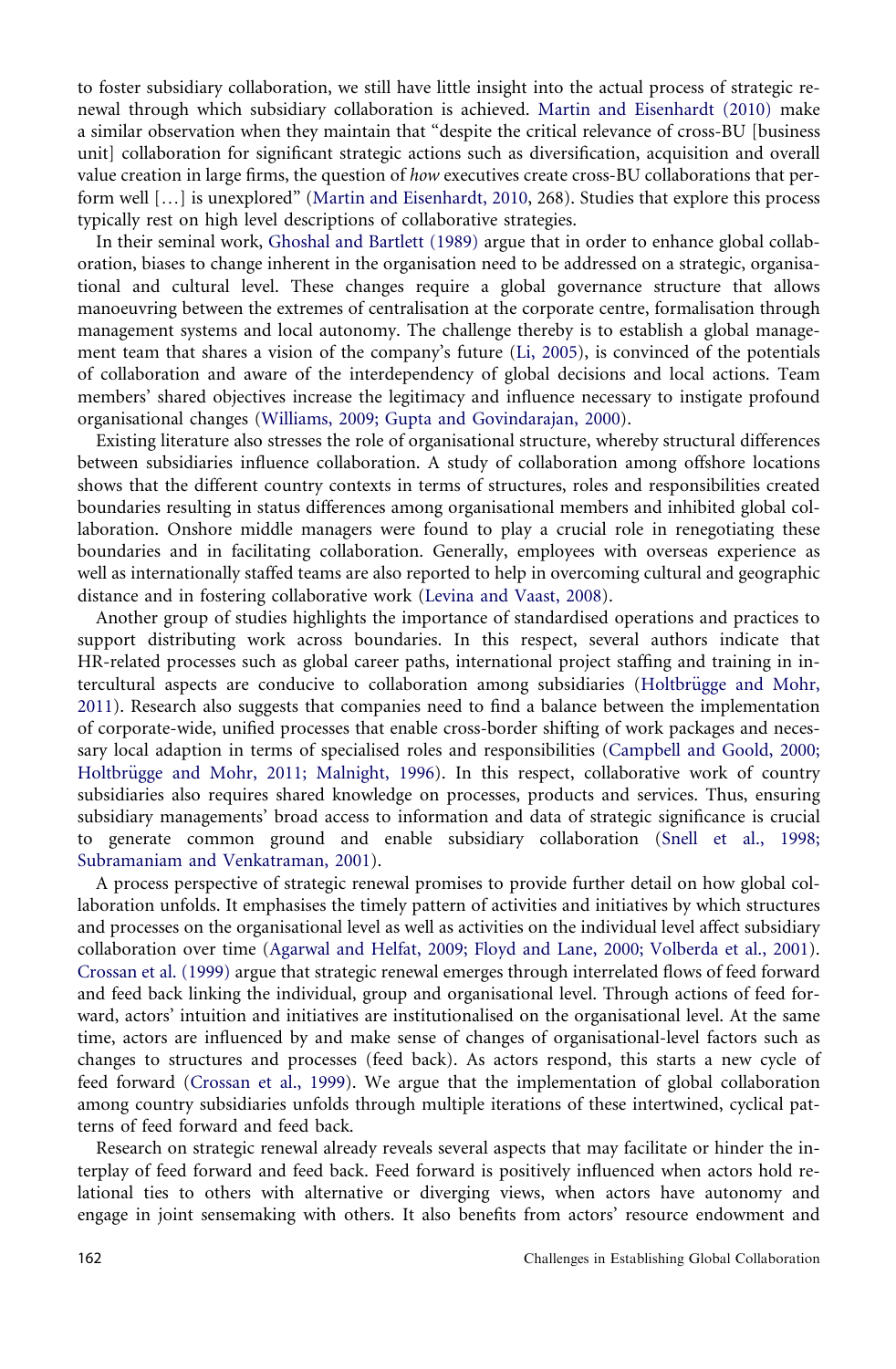to foster subsidiary collaboration, we still have little insight into the actual process of strategic renewal through which subsidiary collaboration is achieved. [Martin and Eisenhardt \(2010\)](#page-20-0) make a similar observation when they maintain that "despite the critical relevance of cross-BU [business unit] collaboration for significant strategic actions such as diversification, acquisition and overall value creation in large firms, the question of how executives create cross-BU collaborations that per-form well [...] is unexplored" [\(Martin and Eisenhardt, 2010](#page-20-0), 268). Studies that explore this process typically rest on high level descriptions of collaborative strategies.

In their seminal work, [Ghoshal and Bartlett \(1989\)](#page-20-0) argue that in order to enhance global collaboration, biases to change inherent in the organisation need to be addressed on a strategic, organisational and cultural level. These changes require a global governance structure that allows manoeuvring between the extremes of centralisation at the corporate centre, formalisation through management systems and local autonomy. The challenge thereby is to establish a global management team that shares a vision of the company's future ([Li, 2005](#page-20-0)), is convinced of the potentials of collaboration and aware of the interdependency of global decisions and local actions. Team members' shared objectives increase the legitimacy and influence necessary to instigate profound organisational changes [\(Williams, 2009; Gupta and Govindarajan, 2000](#page-21-0)).

Existing literature also stresses the role of organisational structure, whereby structural differences between subsidiaries influence collaboration. A study of collaboration among offshore locations shows that the different country contexts in terms of structures, roles and responsibilities created boundaries resulting in status differences among organisational members and inhibited global collaboration. Onshore middle managers were found to play a crucial role in renegotiating these boundaries and in facilitating collaboration. Generally, employees with overseas experience as well as internationally staffed teams are also reported to help in overcoming cultural and geographic distance and in fostering collaborative work [\(Levina and Vaast, 2008\)](#page-20-0).

Another group of studies highlights the importance of standardised operations and practices to support distributing work across boundaries. In this respect, several authors indicate that HR-related processes such as global career paths, international project staffing and training in intercultural aspects are conducive to collaboration among subsidiaries (Holtbrügge and Mohr, [2011\)](#page-20-0). Research also suggests that companies need to find a balance between the implementation of corporate-wide, unified processes that enable cross-border shifting of work packages and necessary local adaption in terms of specialised roles and responsibilities ([Campbell and Goold, 2000;](#page-19-0) [Holtbr](#page-19-0)ü[gge and Mohr, 2011; Malnight, 1996](#page-19-0)). In this respect, collaborative work of country subsidiaries also requires shared knowledge on processes, products and services. Thus, ensuring subsidiary managements' broad access to information and data of strategic significance is crucial to generate common ground and enable subsidiary collaboration ([Snell et al., 1998;](#page-20-0) [Subramaniam and Venkatraman, 2001\)](#page-20-0).

A process perspective of strategic renewal promises to provide further detail on how global collaboration unfolds. It emphasises the timely pattern of activities and initiatives by which structures and processes on the organisational level as well as activities on the individual level affect subsidiary collaboration over time ([Agarwal and Helfat, 2009; Floyd and Lane, 2000; Volberda et al., 2001\)](#page-19-0). [Crossan et al. \(1999\)](#page-19-0) argue that strategic renewal emerges through interrelated flows of feed forward and feed back linking the individual, group and organisational level. Through actions of feed forward, actors' intuition and initiatives are institutionalised on the organisational level. At the same time, actors are influenced by and make sense of changes of organisational-level factors such as changes to structures and processes (feed back). As actors respond, this starts a new cycle of feed forward [\(Crossan et al., 1999\)](#page-19-0). We argue that the implementation of global collaboration among country subsidiaries unfolds through multiple iterations of these intertwined, cyclical patterns of feed forward and feed back.

Research on strategic renewal already reveals several aspects that may facilitate or hinder the interplay of feed forward and feed back. Feed forward is positively influenced when actors hold relational ties to others with alternative or diverging views, when actors have autonomy and engage in joint sensemaking with others. It also benefits from actors' resource endowment and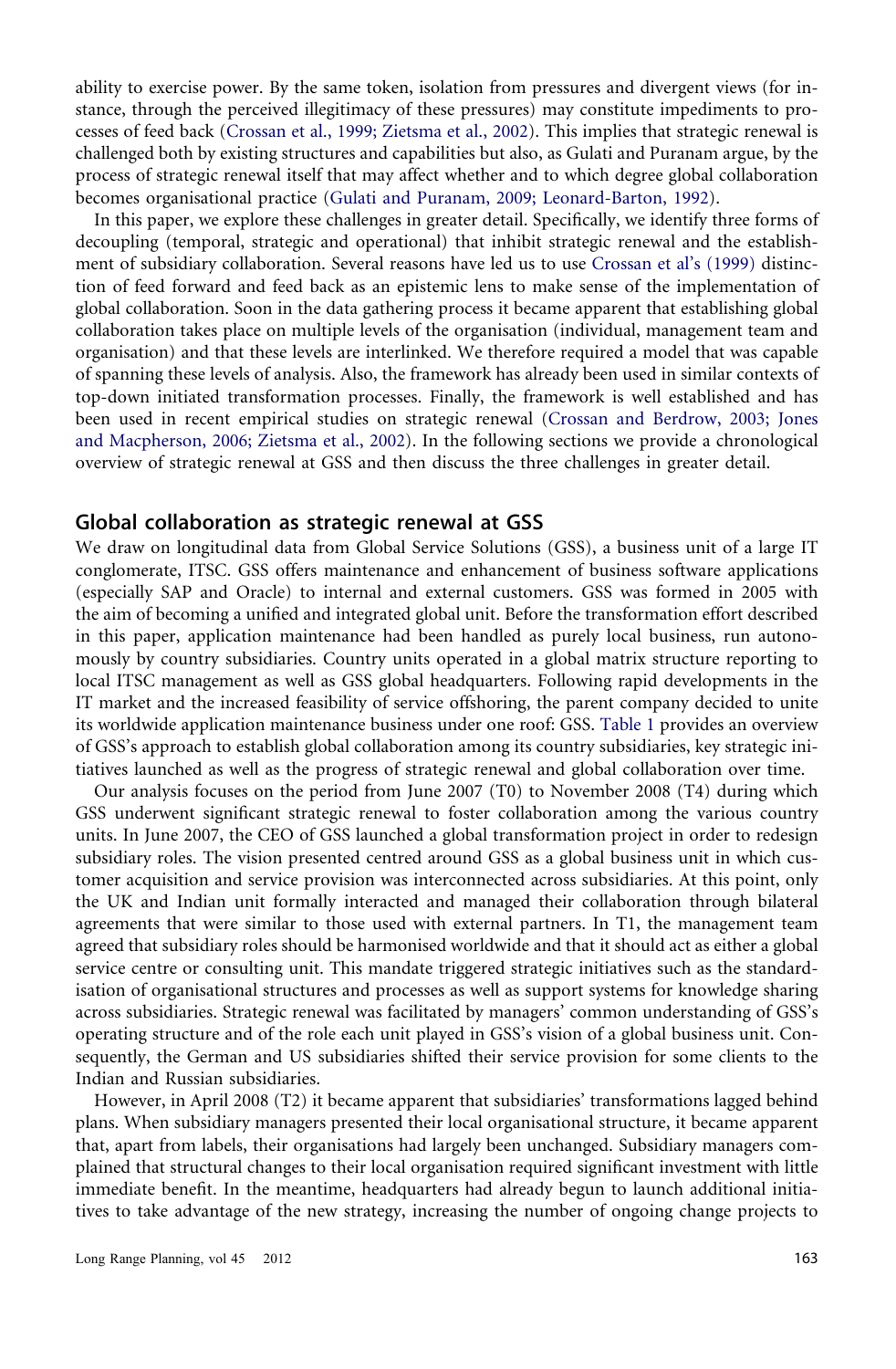ability to exercise power. By the same token, isolation from pressures and divergent views (for instance, through the perceived illegitimacy of these pressures) may constitute impediments to processes of feed back ([Crossan et al., 1999; Zietsma et al., 2002\)](#page-19-0). This implies that strategic renewal is challenged both by existing structures and capabilities but also, as Gulati and Puranam argue, by the process of strategic renewal itself that may affect whether and to which degree global collaboration becomes organisational practice ([Gulati and Puranam, 2009; Leonard-Barton, 1992](#page-20-0)).

In this paper, we explore these challenges in greater detail. Specifically, we identify three forms of decoupling (temporal, strategic and operational) that inhibit strategic renewal and the establishment of subsidiary collaboration. Several reasons have led us to use [Crossan et al's \(1999\)](#page-19-0) distinction of feed forward and feed back as an epistemic lens to make sense of the implementation of global collaboration. Soon in the data gathering process it became apparent that establishing global collaboration takes place on multiple levels of the organisation (individual, management team and organisation) and that these levels are interlinked. We therefore required a model that was capable of spanning these levels of analysis. Also, the framework has already been used in similar contexts of top-down initiated transformation processes. Finally, the framework is well established and has been used in recent empirical studies on strategic renewal ([Crossan and Berdrow, 2003; Jones](#page-20-0) [and Macpherson, 2006; Zietsma et al., 2002](#page-20-0)). In the following sections we provide a chronological overview of strategic renewal at GSS and then discuss the three challenges in greater detail.

#### Global collaboration as strategic renewal at GSS

We draw on longitudinal data from Global Service Solutions (GSS), a business unit of a large IT conglomerate, ITSC. GSS offers maintenance and enhancement of business software applications (especially SAP and Oracle) to internal and external customers. GSS was formed in 2005 with the aim of becoming a unified and integrated global unit. Before the transformation effort described in this paper, application maintenance had been handled as purely local business, run autonomously by country subsidiaries. Country units operated in a global matrix structure reporting to local ITSC management as well as GSS global headquarters. Following rapid developments in the IT market and the increased feasibility of service offshoring, the parent company decided to unite its worldwide application maintenance business under one roof: GSS. [Table 1](#page-4-0) provides an overview of GSS's approach to establish global collaboration among its country subsidiaries, key strategic initiatives launched as well as the progress of strategic renewal and global collaboration over time.

Our analysis focuses on the period from June 2007 (T0) to November 2008 (T4) during which GSS underwent significant strategic renewal to foster collaboration among the various country units. In June 2007, the CEO of GSS launched a global transformation project in order to redesign subsidiary roles. The vision presented centred around GSS as a global business unit in which customer acquisition and service provision was interconnected across subsidiaries. At this point, only the UK and Indian unit formally interacted and managed their collaboration through bilateral agreements that were similar to those used with external partners. In T1, the management team agreed that subsidiary roles should be harmonised worldwide and that it should act as either a global service centre or consulting unit. This mandate triggered strategic initiatives such as the standardisation of organisational structures and processes as well as support systems for knowledge sharing across subsidiaries. Strategic renewal was facilitated by managers' common understanding of GSS's operating structure and of the role each unit played in GSS's vision of a global business unit. Consequently, the German and US subsidiaries shifted their service provision for some clients to the Indian and Russian subsidiaries.

However, in April 2008 (T2) it became apparent that subsidiaries' transformations lagged behind plans. When subsidiary managers presented their local organisational structure, it became apparent that, apart from labels, their organisations had largely been unchanged. Subsidiary managers complained that structural changes to their local organisation required significant investment with little immediate benefit. In the meantime, headquarters had already begun to launch additional initiatives to take advantage of the new strategy, increasing the number of ongoing change projects to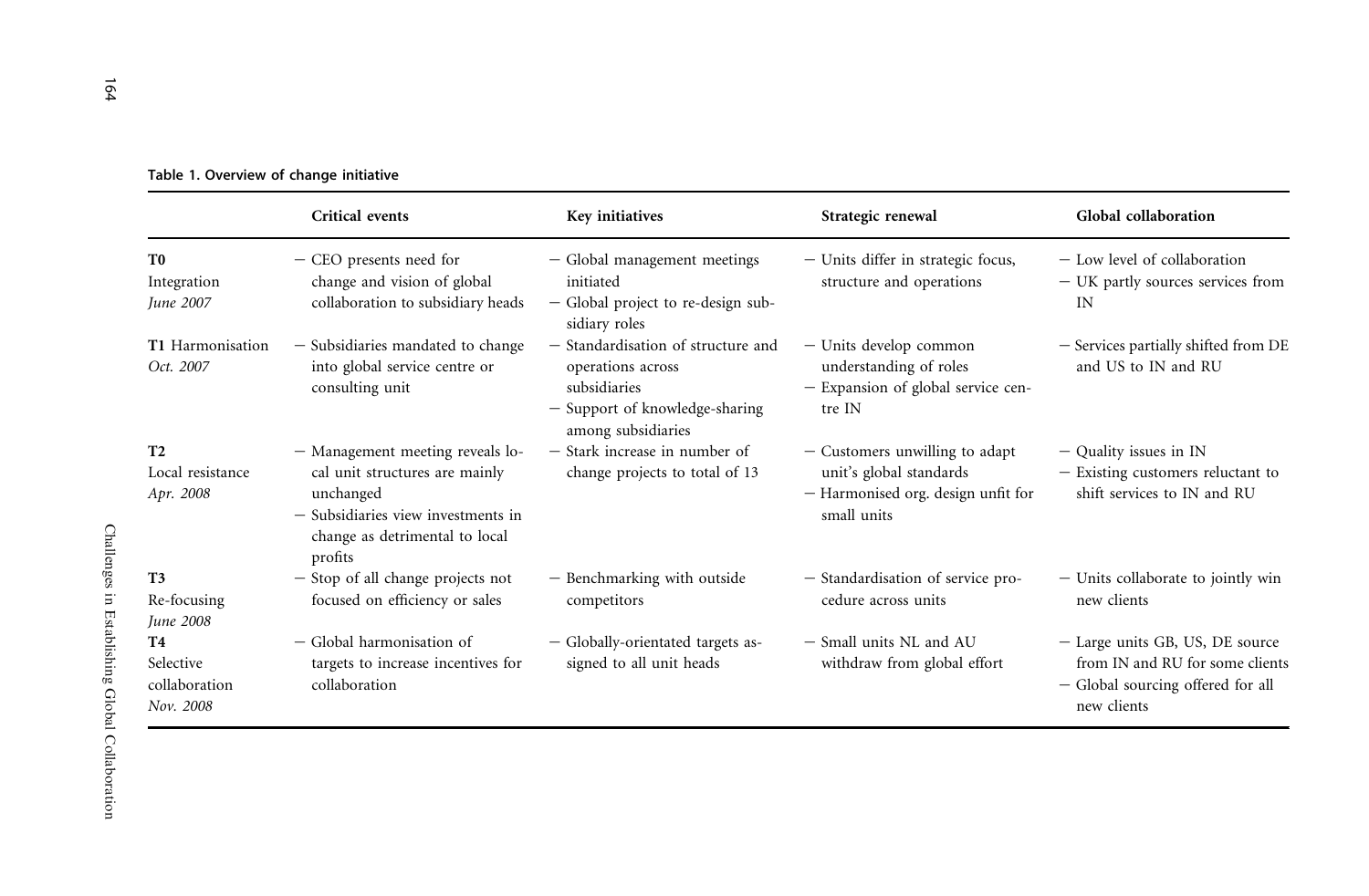|                                                 | <b>Critical events</b>                                                                                                                                             | Key initiatives                                                                                                                 | Strategic renewal                                                                                              | Global collaboration                                                                                                   |
|-------------------------------------------------|--------------------------------------------------------------------------------------------------------------------------------------------------------------------|---------------------------------------------------------------------------------------------------------------------------------|----------------------------------------------------------------------------------------------------------------|------------------------------------------------------------------------------------------------------------------------|
| T <sub>0</sub><br>Integration<br>June 2007      | - CEO presents need for<br>change and vision of global<br>collaboration to subsidiary heads                                                                        | - Global management meetings<br>initiated<br>- Global project to re-design sub-<br>sidiary roles                                | - Units differ in strategic focus,<br>structure and operations                                                 | - Low level of collaboration<br>- UK partly sources services from<br>IN                                                |
| <b>T1</b> Harmonisation<br>Oct. 2007            | - Subsidiaries mandated to change<br>into global service centre or<br>consulting unit                                                                              | - Standardisation of structure and<br>operations across<br>subsidiaries<br>- Support of knowledge-sharing<br>among subsidiaries | - Units develop common<br>understanding of roles<br>- Expansion of global service cen-<br>tre IN               | - Services partially shifted from DE<br>and US to IN and RU                                                            |
| T <sub>2</sub><br>Local resistance<br>Apr. 2008 | - Management meeting reveals lo-<br>cal unit structures are mainly<br>unchanged<br>- Subsidiaries view investments in<br>change as detrimental to local<br>profits | - Stark increase in number of<br>change projects to total of 13                                                                 | - Customers unwilling to adapt<br>unit's global standards<br>- Harmonised org. design unfit for<br>small units | $-$ Quality issues in IN<br>- Existing customers reluctant to<br>shift services to IN and RU                           |
| T <sub>3</sub><br>Re-focusing<br>June 2008      | - Stop of all change projects not<br>focused on efficiency or sales                                                                                                | - Benchmarking with outside<br>competitors                                                                                      | - Standardisation of service pro-<br>cedure across units                                                       | - Units collaborate to jointly win<br>new clients                                                                      |
| T4<br>Selective<br>collaboration<br>Nov. 2008   | - Global harmonisation of<br>targets to increase incentives for<br>collaboration                                                                                   | - Globally-orientated targets as-<br>signed to all unit heads                                                                   | - Small units NL and AU<br>withdraw from global effort                                                         | - Large units GB, US, DE source<br>from IN and RU for some clients<br>- Global sourcing offered for all<br>new clients |

<span id="page-4-0"></span>Table 1. Overview of change initiative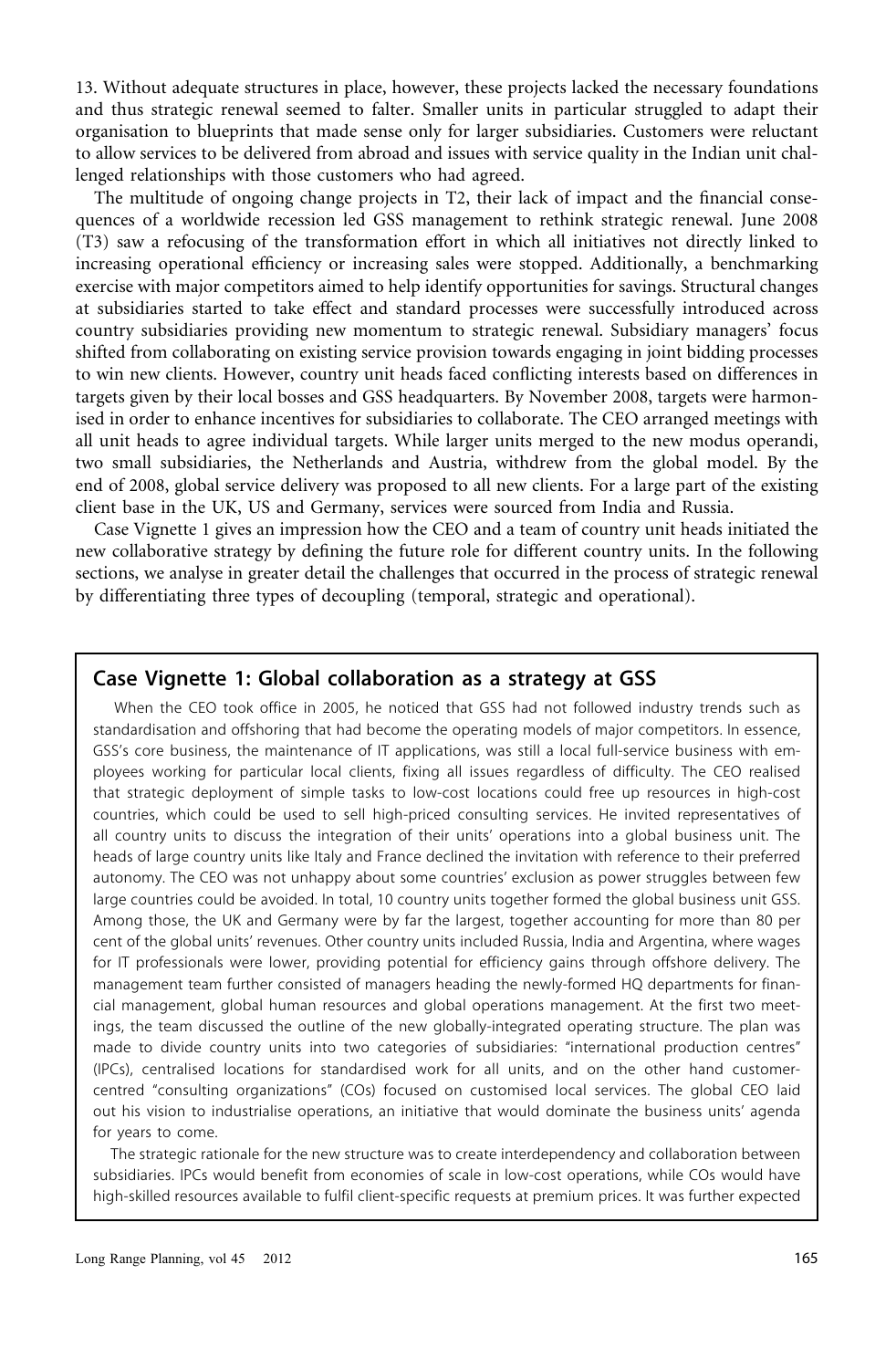13. Without adequate structures in place, however, these projects lacked the necessary foundations and thus strategic renewal seemed to falter. Smaller units in particular struggled to adapt their organisation to blueprints that made sense only for larger subsidiaries. Customers were reluctant to allow services to be delivered from abroad and issues with service quality in the Indian unit challenged relationships with those customers who had agreed.

The multitude of ongoing change projects in T2, their lack of impact and the financial consequences of a worldwide recession led GSS management to rethink strategic renewal. June 2008 (T3) saw a refocusing of the transformation effort in which all initiatives not directly linked to increasing operational efficiency or increasing sales were stopped. Additionally, a benchmarking exercise with major competitors aimed to help identify opportunities for savings. Structural changes at subsidiaries started to take effect and standard processes were successfully introduced across country subsidiaries providing new momentum to strategic renewal. Subsidiary managers' focus shifted from collaborating on existing service provision towards engaging in joint bidding processes to win new clients. However, country unit heads faced conflicting interests based on differences in targets given by their local bosses and GSS headquarters. By November 2008, targets were harmonised in order to enhance incentives for subsidiaries to collaborate. The CEO arranged meetings with all unit heads to agree individual targets. While larger units merged to the new modus operandi, two small subsidiaries, the Netherlands and Austria, withdrew from the global model. By the end of 2008, global service delivery was proposed to all new clients. For a large part of the existing client base in the UK, US and Germany, services were sourced from India and Russia.

Case Vignette 1 gives an impression how the CEO and a team of country unit heads initiated the new collaborative strategy by defining the future role for different country units. In the following sections, we analyse in greater detail the challenges that occurred in the process of strategic renewal by differentiating three types of decoupling (temporal, strategic and operational).

#### Case Vignette 1: Global collaboration as a strategy at GSS

When the CEO took office in 2005, he noticed that GSS had not followed industry trends such as standardisation and offshoring that had become the operating models of major competitors. In essence, GSS's core business, the maintenance of IT applications, was still a local full-service business with employees working for particular local clients, fixing all issues regardless of difficulty. The CEO realised that strategic deployment of simple tasks to low-cost locations could free up resources in high-cost countries, which could be used to sell high-priced consulting services. He invited representatives of all country units to discuss the integration of their units' operations into a global business unit. The heads of large country units like Italy and France declined the invitation with reference to their preferred autonomy. The CEO was not unhappy about some countries' exclusion as power struggles between few large countries could be avoided. In total, 10 country units together formed the global business unit GSS. Among those, the UK and Germany were by far the largest, together accounting for more than 80 per cent of the global units' revenues. Other country units included Russia, India and Argentina, where wages for IT professionals were lower, providing potential for efficiency gains through offshore delivery. The management team further consisted of managers heading the newly-formed HQ departments for financial management, global human resources and global operations management. At the first two meetings, the team discussed the outline of the new globally-integrated operating structure. The plan was made to divide country units into two categories of subsidiaries: "international production centres" (IPCs), centralised locations for standardised work for all units, and on the other hand customercentred "consulting organizations" (COs) focused on customised local services. The global CEO laid out his vision to industrialise operations, an initiative that would dominate the business units' agenda for years to come.

The strategic rationale for the new structure was to create interdependency and collaboration between subsidiaries. IPCs would benefit from economies of scale in low-cost operations, while COs would have high-skilled resources available to fulfil client-specific requests at premium prices. It was further expected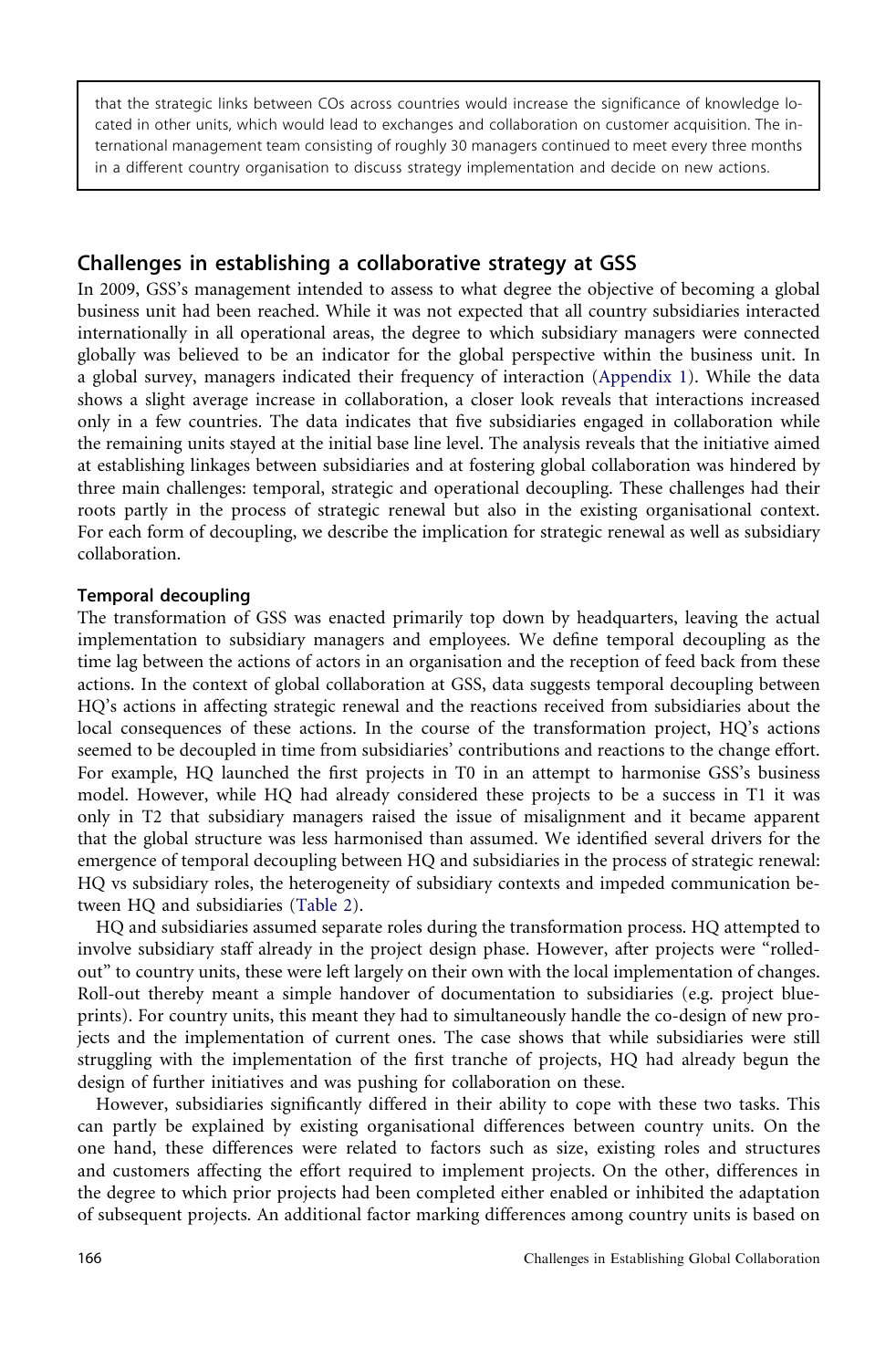that the strategic links between COs across countries would increase the significance of knowledge located in other units, which would lead to exchanges and collaboration on customer acquisition. The international management team consisting of roughly 30 managers continued to meet every three months in a different country organisation to discuss strategy implementation and decide on new actions.

## Challenges in establishing a collaborative strategy at GSS

In 2009, GSS's management intended to assess to what degree the objective of becoming a global business unit had been reached. While it was not expected that all country subsidiaries interacted internationally in all operational areas, the degree to which subsidiary managers were connected globally was believed to be an indicator for the global perspective within the business unit. In a global survey, managers indicated their frequency of interaction (Appendix 1). While the data shows a slight average increase in collaboration, a closer look reveals that interactions increased only in a few countries. The data indicates that five subsidiaries engaged in collaboration while the remaining units stayed at the initial base line level. The analysis reveals that the initiative aimed at establishing linkages between subsidiaries and at fostering global collaboration was hindered by three main challenges: temporal, strategic and operational decoupling. These challenges had their roots partly in the process of strategic renewal but also in the existing organisational context. For each form of decoupling, we describe the implication for strategic renewal as well as subsidiary collaboration.

#### Temporal decoupling

The transformation of GSS was enacted primarily top down by headquarters, leaving the actual implementation to subsidiary managers and employees. We define temporal decoupling as the time lag between the actions of actors in an organisation and the reception of feed back from these actions. In the context of global collaboration at GSS, data suggests temporal decoupling between HQ's actions in affecting strategic renewal and the reactions received from subsidiaries about the local consequences of these actions. In the course of the transformation project, HQ's actions seemed to be decoupled in time from subsidiaries' contributions and reactions to the change effort. For example, HQ launched the first projects in T0 in an attempt to harmonise GSS's business model. However, while HQ had already considered these projects to be a success in T1 it was only in T2 that subsidiary managers raised the issue of misalignment and it became apparent that the global structure was less harmonised than assumed. We identified several drivers for the emergence of temporal decoupling between HQ and subsidiaries in the process of strategic renewal: HQ vs subsidiary roles, the heterogeneity of subsidiary contexts and impeded communication between HQ and subsidiaries ([Table 2](#page-7-0)).

HQ and subsidiaries assumed separate roles during the transformation process. HQ attempted to involve subsidiary staff already in the project design phase. However, after projects were "rolledout" to country units, these were left largely on their own with the local implementation of changes. Roll-out thereby meant a simple handover of documentation to subsidiaries (e.g. project blueprints). For country units, this meant they had to simultaneously handle the co-design of new projects and the implementation of current ones. The case shows that while subsidiaries were still struggling with the implementation of the first tranche of projects, HQ had already begun the design of further initiatives and was pushing for collaboration on these.

However, subsidiaries significantly differed in their ability to cope with these two tasks. This can partly be explained by existing organisational differences between country units. On the one hand, these differences were related to factors such as size, existing roles and structures and customers affecting the effort required to implement projects. On the other, differences in the degree to which prior projects had been completed either enabled or inhibited the adaptation of subsequent projects. An additional factor marking differences among country units is based on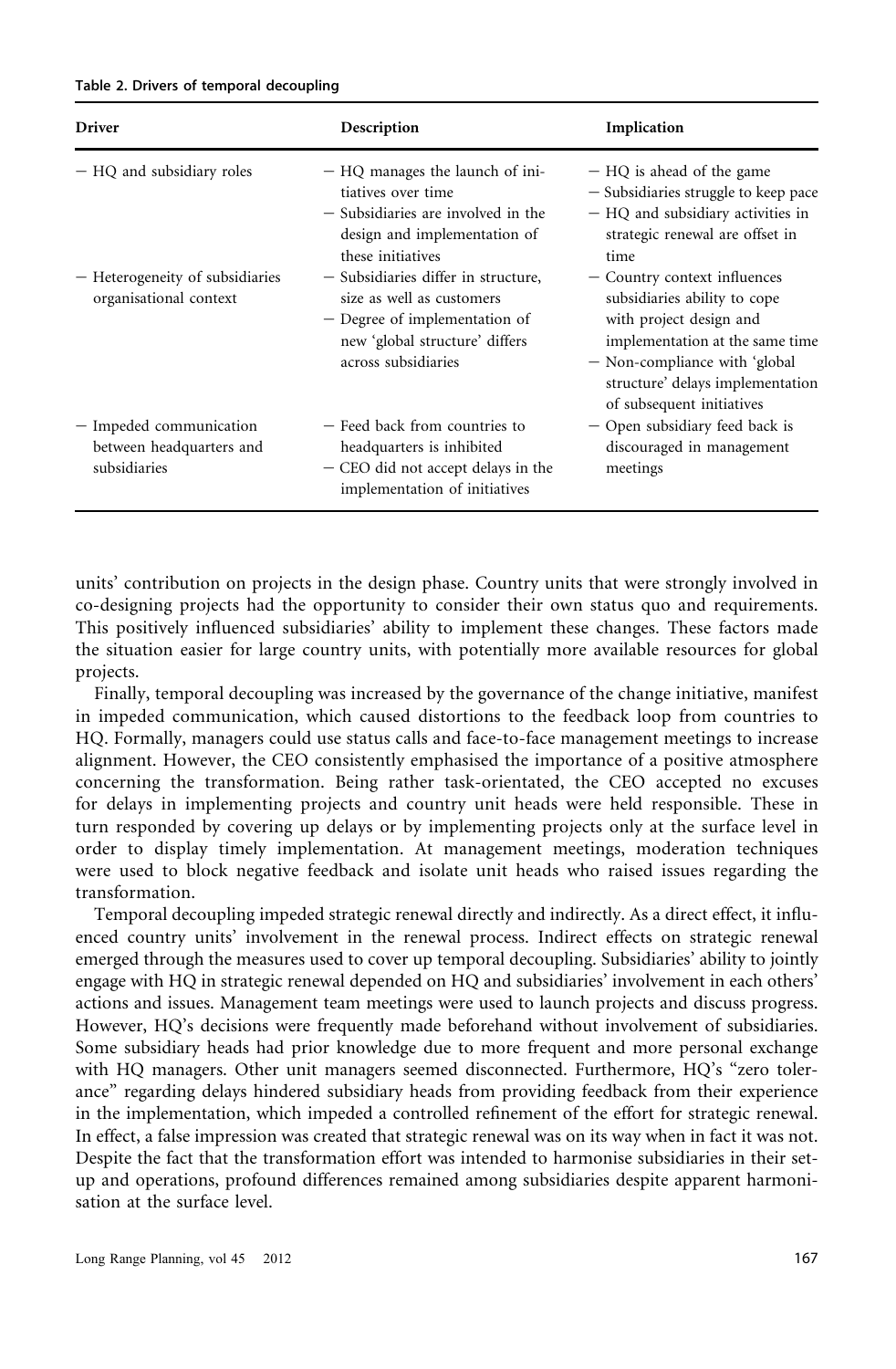<span id="page-7-0"></span>

| <b>Driver</b>                                                       | Description                                                                                                                                                | Implication                                                                                                                                                                                                                   |
|---------------------------------------------------------------------|------------------------------------------------------------------------------------------------------------------------------------------------------------|-------------------------------------------------------------------------------------------------------------------------------------------------------------------------------------------------------------------------------|
| - HQ and subsidiary roles                                           | - HQ manages the launch of ini-<br>tiatives over time<br>- Subsidiaries are involved in the<br>design and implementation of<br>these initiatives           | - HQ is ahead of the game<br>- Subsidiaries struggle to keep pace<br>- HQ and subsidiary activities in<br>strategic renewal are offset in<br>time                                                                             |
| - Heterogeneity of subsidiaries<br>organisational context           | - Subsidiaries differ in structure,<br>size as well as customers<br>- Degree of implementation of<br>new 'global structure' differs<br>across subsidiaries | - Country context influences<br>subsidiaries ability to cope<br>with project design and<br>implementation at the same time<br>- Non-compliance with 'global'<br>structure' delays implementation<br>of subsequent initiatives |
| - Impeded communication<br>between headquarters and<br>subsidiaries | - Feed back from countries to<br>headquarters is inhibited<br>- CEO did not accept delays in the<br>implementation of initiatives                          | - Open subsidiary feed back is<br>discouraged in management<br>meetings                                                                                                                                                       |

units' contribution on projects in the design phase. Country units that were strongly involved in co-designing projects had the opportunity to consider their own status quo and requirements. This positively influenced subsidiaries' ability to implement these changes. These factors made the situation easier for large country units, with potentially more available resources for global projects.

Finally, temporal decoupling was increased by the governance of the change initiative, manifest in impeded communication, which caused distortions to the feedback loop from countries to HQ. Formally, managers could use status calls and face-to-face management meetings to increase alignment. However, the CEO consistently emphasised the importance of a positive atmosphere concerning the transformation. Being rather task-orientated, the CEO accepted no excuses for delays in implementing projects and country unit heads were held responsible. These in turn responded by covering up delays or by implementing projects only at the surface level in order to display timely implementation. At management meetings, moderation techniques were used to block negative feedback and isolate unit heads who raised issues regarding the transformation.

Temporal decoupling impeded strategic renewal directly and indirectly. As a direct effect, it influenced country units' involvement in the renewal process. Indirect effects on strategic renewal emerged through the measures used to cover up temporal decoupling. Subsidiaries' ability to jointly engage with HQ in strategic renewal depended on HQ and subsidiaries' involvement in each others' actions and issues. Management team meetings were used to launch projects and discuss progress. However, HQ's decisions were frequently made beforehand without involvement of subsidiaries. Some subsidiary heads had prior knowledge due to more frequent and more personal exchange with HQ managers. Other unit managers seemed disconnected. Furthermore, HQ's "zero tolerance" regarding delays hindered subsidiary heads from providing feedback from their experience in the implementation, which impeded a controlled refinement of the effort for strategic renewal. In effect, a false impression was created that strategic renewal was on its way when in fact it was not. Despite the fact that the transformation effort was intended to harmonise subsidiaries in their setup and operations, profound differences remained among subsidiaries despite apparent harmonisation at the surface level.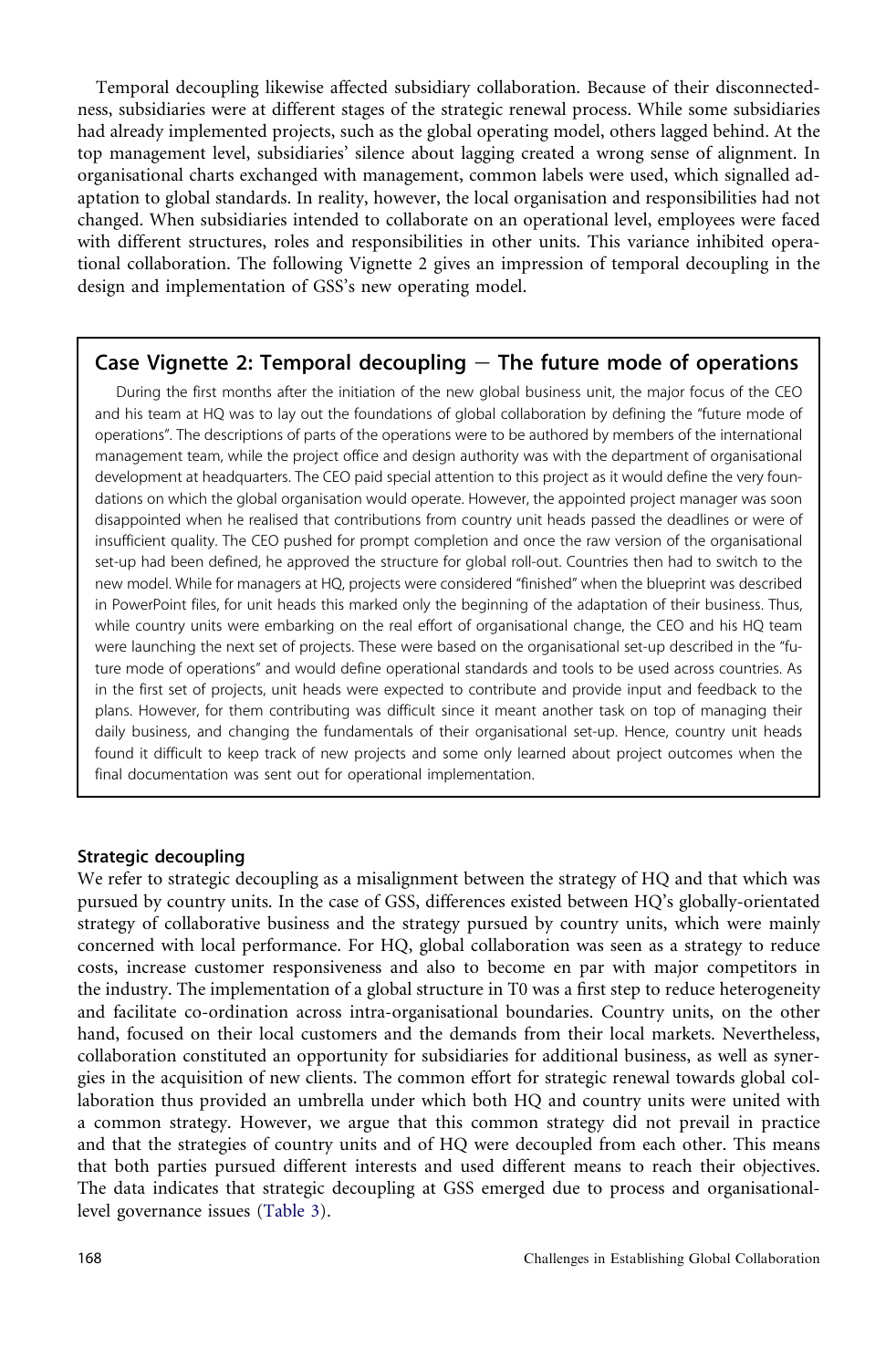Temporal decoupling likewise affected subsidiary collaboration. Because of their disconnectedness, subsidiaries were at different stages of the strategic renewal process. While some subsidiaries had already implemented projects, such as the global operating model, others lagged behind. At the top management level, subsidiaries' silence about lagging created a wrong sense of alignment. In organisational charts exchanged with management, common labels were used, which signalled adaptation to global standards. In reality, however, the local organisation and responsibilities had not changed. When subsidiaries intended to collaborate on an operational level, employees were faced with different structures, roles and responsibilities in other units. This variance inhibited operational collaboration. The following Vignette 2 gives an impression of temporal decoupling in the design and implementation of GSS's new operating model.

## Case Vignette 2: Temporal decoupling  $-$  The future mode of operations

During the first months after the initiation of the new global business unit, the major focus of the CEO and his team at HQ was to lay out the foundations of global collaboration by defining the "future mode of operations". The descriptions of parts of the operations were to be authored by members of the international management team, while the project office and design authority was with the department of organisational development at headquarters. The CEO paid special attention to this project as it would define the very foundations on which the global organisation would operate. However, the appointed project manager was soon disappointed when he realised that contributions from country unit heads passed the deadlines or were of insufficient quality. The CEO pushed for prompt completion and once the raw version of the organisational set-up had been defined, he approved the structure for global roll-out. Countries then had to switch to the new model. While for managers at HQ, projects were considered "finished" when the blueprint was described in PowerPoint files, for unit heads this marked only the beginning of the adaptation of their business. Thus, while country units were embarking on the real effort of organisational change, the CEO and his HQ team were launching the next set of projects. These were based on the organisational set-up described in the "future mode of operations" and would define operational standards and tools to be used across countries. As in the first set of projects, unit heads were expected to contribute and provide input and feedback to the plans. However, for them contributing was difficult since it meant another task on top of managing their daily business, and changing the fundamentals of their organisational set-up. Hence, country unit heads found it difficult to keep track of new projects and some only learned about project outcomes when the final documentation was sent out for operational implementation.

#### Strategic decoupling

We refer to strategic decoupling as a misalignment between the strategy of HQ and that which was pursued by country units. In the case of GSS, differences existed between HQ's globally-orientated strategy of collaborative business and the strategy pursued by country units, which were mainly concerned with local performance. For HQ, global collaboration was seen as a strategy to reduce costs, increase customer responsiveness and also to become en par with major competitors in the industry. The implementation of a global structure in T0 was a first step to reduce heterogeneity and facilitate co-ordination across intra-organisational boundaries. Country units, on the other hand, focused on their local customers and the demands from their local markets. Nevertheless, collaboration constituted an opportunity for subsidiaries for additional business, as well as synergies in the acquisition of new clients. The common effort for strategic renewal towards global collaboration thus provided an umbrella under which both HQ and country units were united with a common strategy. However, we argue that this common strategy did not prevail in practice and that the strategies of country units and of HQ were decoupled from each other. This means that both parties pursued different interests and used different means to reach their objectives. The data indicates that strategic decoupling at GSS emerged due to process and organisationallevel governance issues [\(Table 3](#page-9-0)).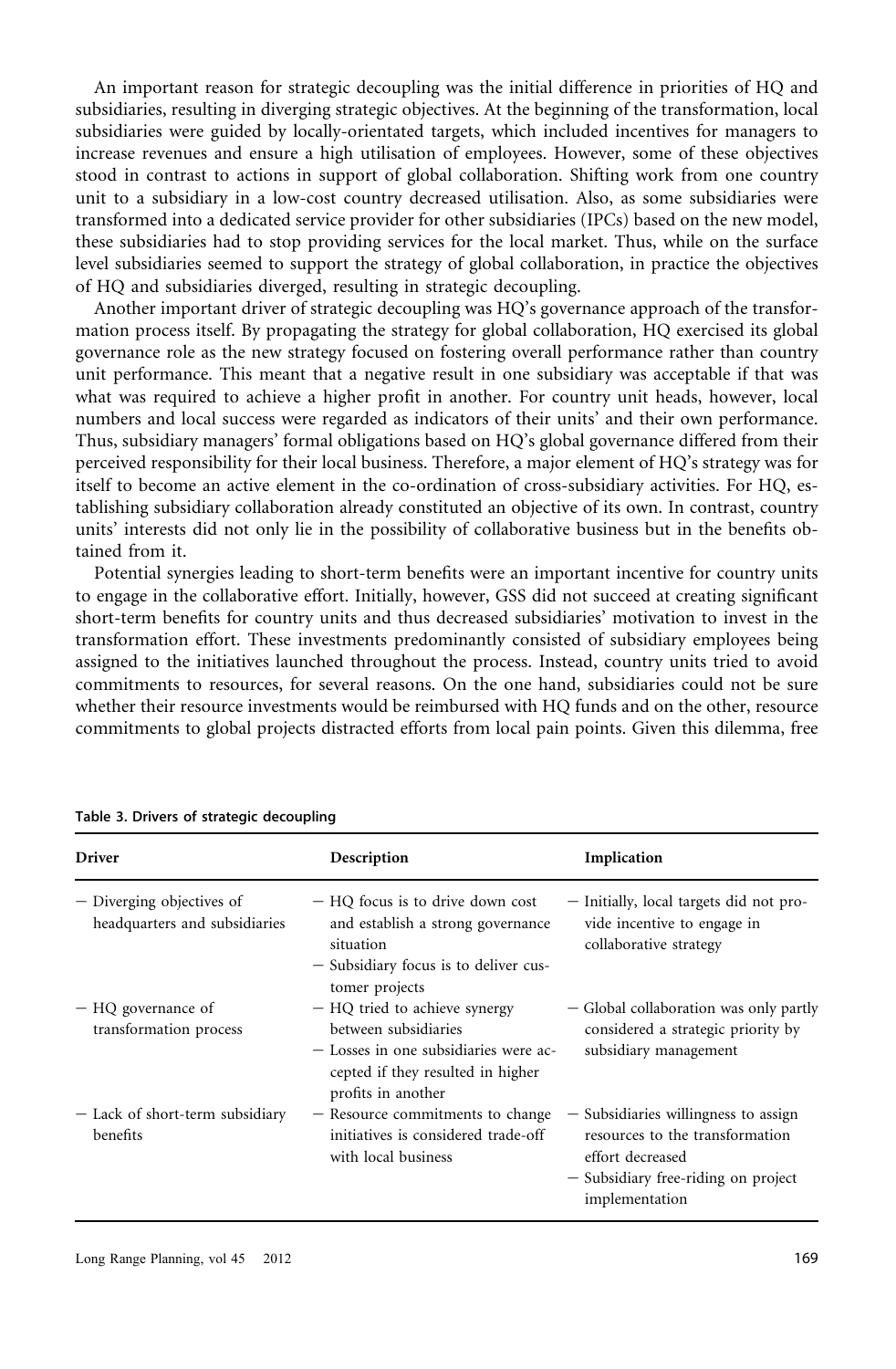<span id="page-9-0"></span>An important reason for strategic decoupling was the initial difference in priorities of HQ and subsidiaries, resulting in diverging strategic objectives. At the beginning of the transformation, local subsidiaries were guided by locally-orientated targets, which included incentives for managers to increase revenues and ensure a high utilisation of employees. However, some of these objectives stood in contrast to actions in support of global collaboration. Shifting work from one country unit to a subsidiary in a low-cost country decreased utilisation. Also, as some subsidiaries were transformed into a dedicated service provider for other subsidiaries (IPCs) based on the new model, these subsidiaries had to stop providing services for the local market. Thus, while on the surface level subsidiaries seemed to support the strategy of global collaboration, in practice the objectives of HQ and subsidiaries diverged, resulting in strategic decoupling.

Another important driver of strategic decoupling was HQ's governance approach of the transformation process itself. By propagating the strategy for global collaboration, HQ exercised its global governance role as the new strategy focused on fostering overall performance rather than country unit performance. This meant that a negative result in one subsidiary was acceptable if that was what was required to achieve a higher profit in another. For country unit heads, however, local numbers and local success were regarded as indicators of their units' and their own performance. Thus, subsidiary managers' formal obligations based on HQ's global governance differed from their perceived responsibility for their local business. Therefore, a major element of HQ's strategy was for itself to become an active element in the co-ordination of cross-subsidiary activities. For HQ, establishing subsidiary collaboration already constituted an objective of its own. In contrast, country units' interests did not only lie in the possibility of collaborative business but in the benefits obtained from it.

Potential synergies leading to short-term benefits were an important incentive for country units to engage in the collaborative effort. Initially, however, GSS did not succeed at creating significant short-term benefits for country units and thus decreased subsidiaries' motivation to invest in the transformation effort. These investments predominantly consisted of subsidiary employees being assigned to the initiatives launched throughout the process. Instead, country units tried to avoid commitments to resources, for several reasons. On the one hand, subsidiaries could not be sure whether their resource investments would be reimbursed with HQ funds and on the other, resource commitments to global projects distracted efforts from local pain points. Given this dilemma, free

| <b>Driver</b>                                              | Description                                                                                                                                               | Implication                                                                                                                                          |
|------------------------------------------------------------|-----------------------------------------------------------------------------------------------------------------------------------------------------------|------------------------------------------------------------------------------------------------------------------------------------------------------|
| - Diverging objectives of<br>headquarters and subsidiaries | - HQ focus is to drive down cost<br>and establish a strong governance<br>situation<br>- Subsidiary focus is to deliver cus-<br>tomer projects             | - Initially, local targets did not pro-<br>vide incentive to engage in<br>collaborative strategy                                                     |
| - HQ governance of<br>transformation process               | - HQ tried to achieve synergy<br>between subsidiaries<br>- Losses in one subsidiaries were ac-<br>cepted if they resulted in higher<br>profits in another | - Global collaboration was only partly<br>considered a strategic priority by<br>subsidiary management                                                |
| - Lack of short-term subsidiary<br>benefits                | - Resource commitments to change<br>initiatives is considered trade-off<br>with local business                                                            | - Subsidiaries willingness to assign<br>resources to the transformation<br>effort decreased<br>- Subsidiary free-riding on project<br>implementation |

#### Table 3. Drivers of strategic decoupling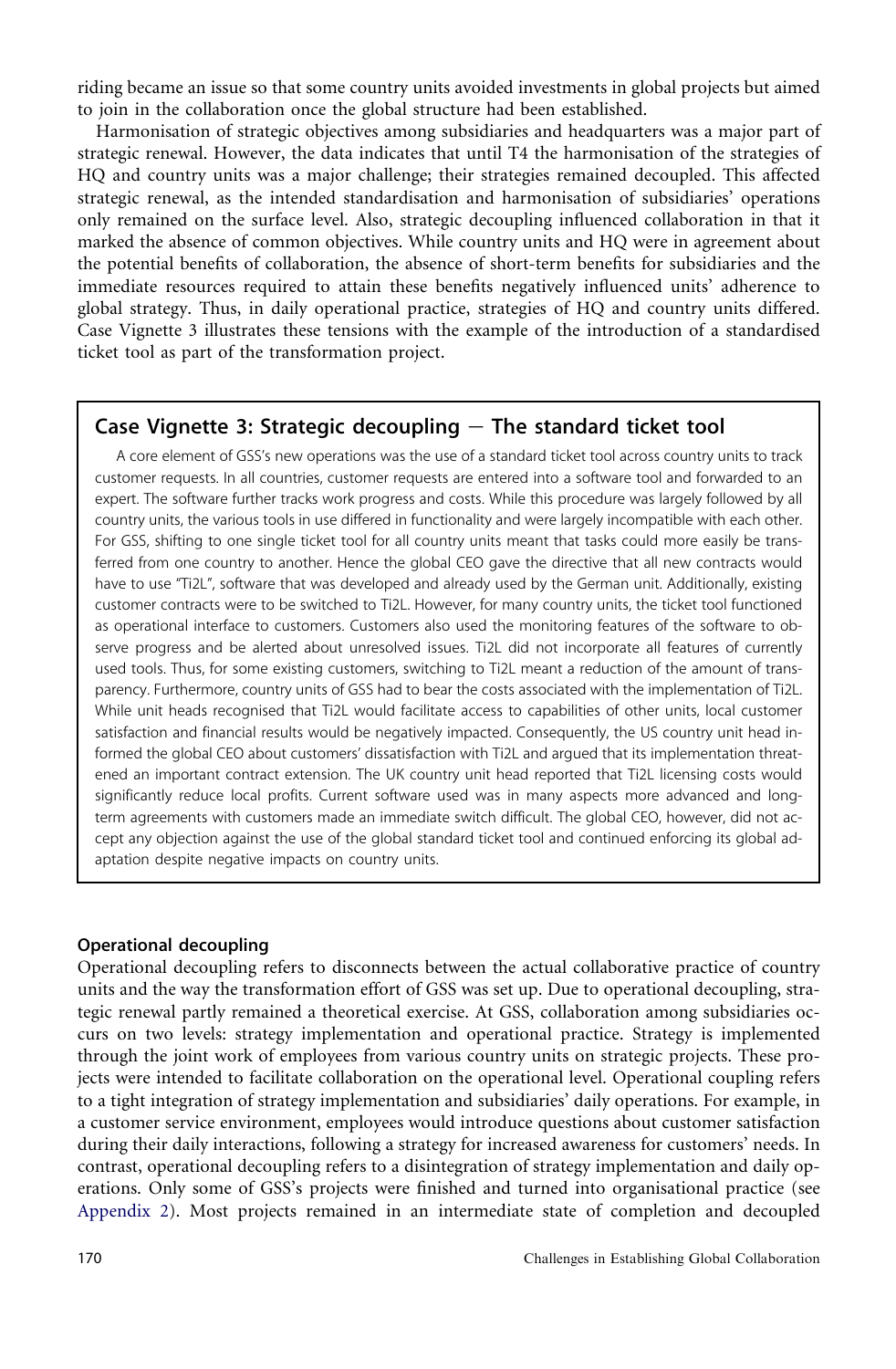riding became an issue so that some country units avoided investments in global projects but aimed to join in the collaboration once the global structure had been established.

Harmonisation of strategic objectives among subsidiaries and headquarters was a major part of strategic renewal. However, the data indicates that until T4 the harmonisation of the strategies of HQ and country units was a major challenge; their strategies remained decoupled. This affected strategic renewal, as the intended standardisation and harmonisation of subsidiaries' operations only remained on the surface level. Also, strategic decoupling influenced collaboration in that it marked the absence of common objectives. While country units and HQ were in agreement about the potential benefits of collaboration, the absence of short-term benefits for subsidiaries and the immediate resources required to attain these benefits negatively influenced units' adherence to global strategy. Thus, in daily operational practice, strategies of HQ and country units differed. Case Vignette 3 illustrates these tensions with the example of the introduction of a standardised ticket tool as part of the transformation project.

## Case Vignette 3: Strategic decoupling  $-$  The standard ticket tool

A core element of GSS's new operations was the use of a standard ticket tool across country units to track customer requests. In all countries, customer requests are entered into a software tool and forwarded to an expert. The software further tracks work progress and costs. While this procedure was largely followed by all country units, the various tools in use differed in functionality and were largely incompatible with each other. For GSS, shifting to one single ticket tool for all country units meant that tasks could more easily be transferred from one country to another. Hence the global CEO gave the directive that all new contracts would have to use "Ti2L", software that was developed and already used by the German unit. Additionally, existing customer contracts were to be switched to Ti2L. However, for many country units, the ticket tool functioned as operational interface to customers. Customers also used the monitoring features of the software to observe progress and be alerted about unresolved issues. Ti2L did not incorporate all features of currently used tools. Thus, for some existing customers, switching to Ti2L meant a reduction of the amount of transparency. Furthermore, country units of GSS had to bear the costs associated with the implementation of Ti2L. While unit heads recognised that Ti2L would facilitate access to capabilities of other units, local customer satisfaction and financial results would be negatively impacted. Consequently, the US country unit head informed the global CEO about customers' dissatisfaction with Ti2L and argued that its implementation threatened an important contract extension. The UK country unit head reported that Ti2L licensing costs would significantly reduce local profits. Current software used was in many aspects more advanced and longterm agreements with customers made an immediate switch difficult. The global CEO, however, did not accept any objection against the use of the global standard ticket tool and continued enforcing its global adaptation despite negative impacts on country units.

#### Operational decoupling

Operational decoupling refers to disconnects between the actual collaborative practice of country units and the way the transformation effort of GSS was set up. Due to operational decoupling, strategic renewal partly remained a theoretical exercise. At GSS, collaboration among subsidiaries occurs on two levels: strategy implementation and operational practice. Strategy is implemented through the joint work of employees from various country units on strategic projects. These projects were intended to facilitate collaboration on the operational level. Operational coupling refers to a tight integration of strategy implementation and subsidiaries' daily operations. For example, in a customer service environment, employees would introduce questions about customer satisfaction during their daily interactions, following a strategy for increased awareness for customers' needs. In contrast, operational decoupling refers to a disintegration of strategy implementation and daily operations. Only some of GSS's projects were finished and turned into organisational practice (see Appendix 2). Most projects remained in an intermediate state of completion and decoupled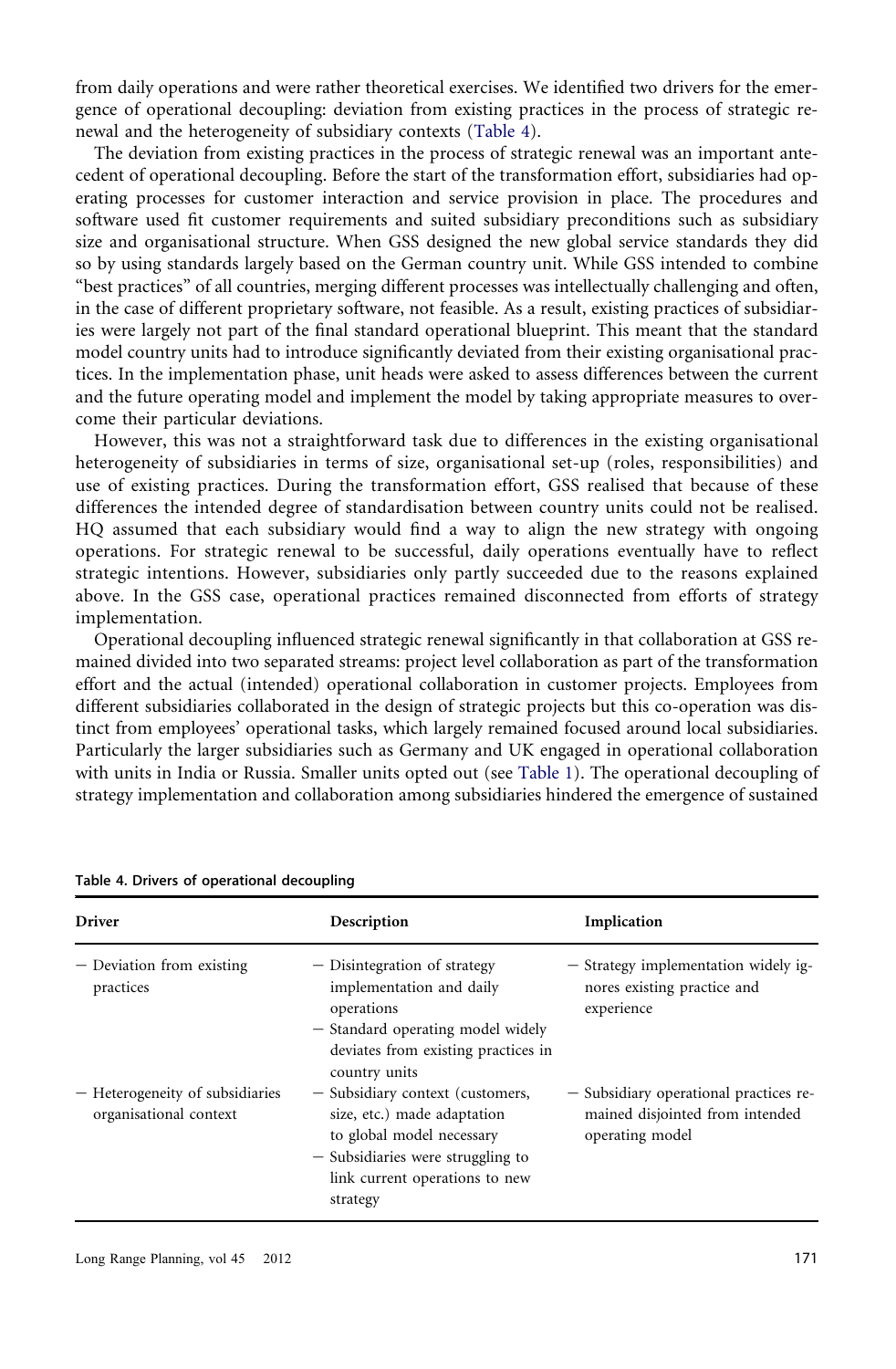from daily operations and were rather theoretical exercises. We identified two drivers for the emergence of operational decoupling: deviation from existing practices in the process of strategic renewal and the heterogeneity of subsidiary contexts (Table 4).

The deviation from existing practices in the process of strategic renewal was an important antecedent of operational decoupling. Before the start of the transformation effort, subsidiaries had operating processes for customer interaction and service provision in place. The procedures and software used fit customer requirements and suited subsidiary preconditions such as subsidiary size and organisational structure. When GSS designed the new global service standards they did so by using standards largely based on the German country unit. While GSS intended to combine "best practices" of all countries, merging different processes was intellectually challenging and often, in the case of different proprietary software, not feasible. As a result, existing practices of subsidiaries were largely not part of the final standard operational blueprint. This meant that the standard model country units had to introduce significantly deviated from their existing organisational practices. In the implementation phase, unit heads were asked to assess differences between the current and the future operating model and implement the model by taking appropriate measures to overcome their particular deviations.

However, this was not a straightforward task due to differences in the existing organisational heterogeneity of subsidiaries in terms of size, organisational set-up (roles, responsibilities) and use of existing practices. During the transformation effort, GSS realised that because of these differences the intended degree of standardisation between country units could not be realised. HQ assumed that each subsidiary would find a way to align the new strategy with ongoing operations. For strategic renewal to be successful, daily operations eventually have to reflect strategic intentions. However, subsidiaries only partly succeeded due to the reasons explained above. In the GSS case, operational practices remained disconnected from efforts of strategy implementation.

Operational decoupling influenced strategic renewal significantly in that collaboration at GSS remained divided into two separated streams: project level collaboration as part of the transformation effort and the actual (intended) operational collaboration in customer projects. Employees from different subsidiaries collaborated in the design of strategic projects but this co-operation was distinct from employees' operational tasks, which largely remained focused around local subsidiaries. Particularly the larger subsidiaries such as Germany and UK engaged in operational collaboration with units in India or Russia. Smaller units opted out (see [Table 1](#page-4-0)). The operational decoupling of strategy implementation and collaboration among subsidiaries hindered the emergence of sustained

| <b>Driver</b>                                             | Description                                                                                                                                                                     | Implication                                                                                  |
|-----------------------------------------------------------|---------------------------------------------------------------------------------------------------------------------------------------------------------------------------------|----------------------------------------------------------------------------------------------|
| - Deviation from existing<br>practices                    | - Disintegration of strategy<br>implementation and daily<br>operations<br>- Standard operating model widely<br>deviates from existing practices in<br>country units             | - Strategy implementation widely ig-<br>nores existing practice and<br>experience            |
| - Heterogeneity of subsidiaries<br>organisational context | - Subsidiary context (customers,<br>size, etc.) made adaptation<br>to global model necessary<br>- Subsidiaries were struggling to<br>link current operations to new<br>strategy | - Subsidiary operational practices re-<br>mained disjointed from intended<br>operating model |

|  |  |  |  | Table 4. Drivers of operational decoupling |
|--|--|--|--|--------------------------------------------|
|--|--|--|--|--------------------------------------------|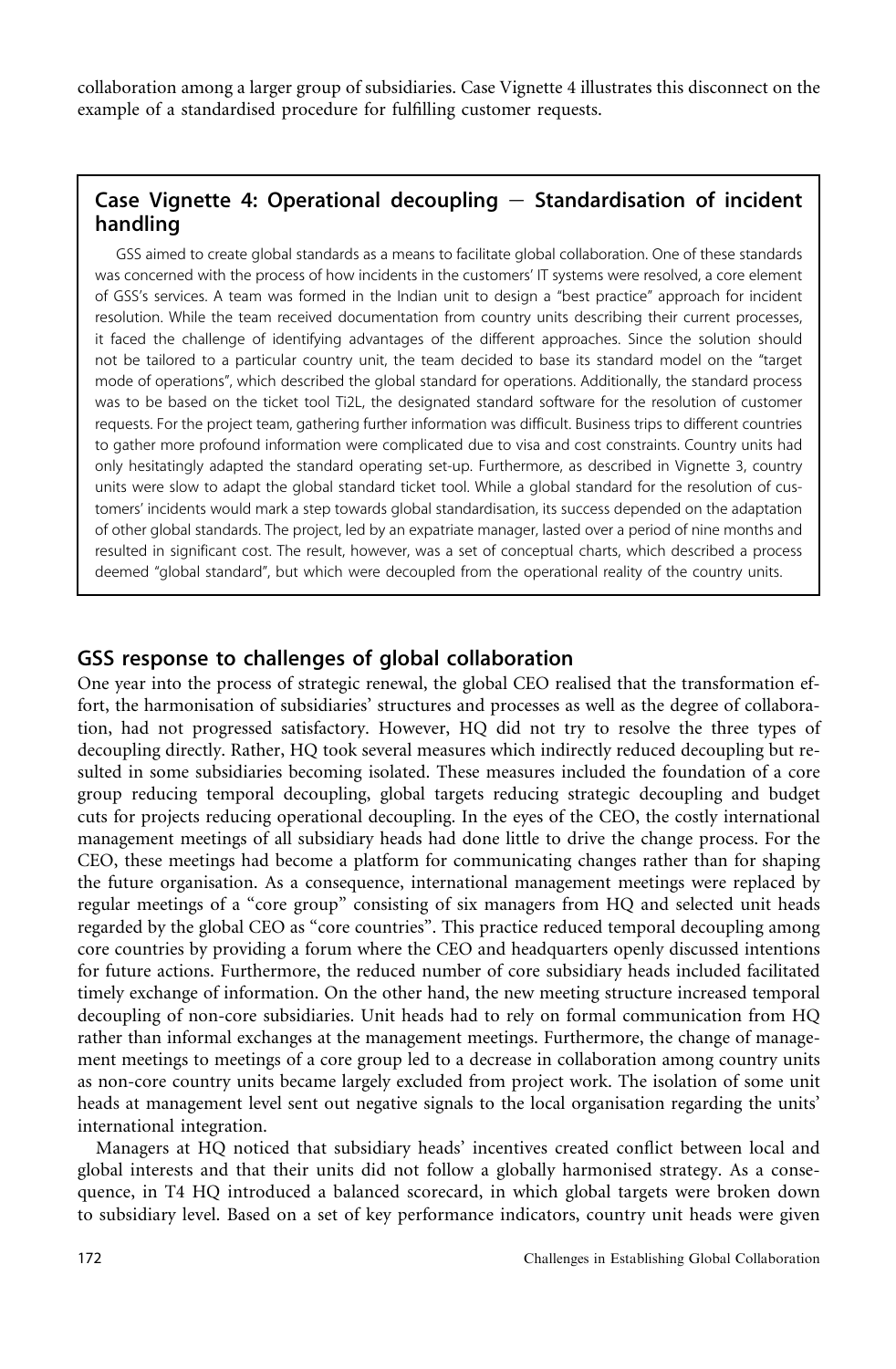collaboration among a larger group of subsidiaries. Case Vignette 4 illustrates this disconnect on the example of a standardised procedure for fulfilling customer requests.

## Case Vignette 4: Operational decoupling  $-$  Standardisation of incident handling

GSS aimed to create global standards as a means to facilitate global collaboration. One of these standards was concerned with the process of how incidents in the customers' IT systems were resolved, a core element of GSS's services. A team was formed in the Indian unit to design a "best practice" approach for incident resolution. While the team received documentation from country units describing their current processes, it faced the challenge of identifying advantages of the different approaches. Since the solution should not be tailored to a particular country unit, the team decided to base its standard model on the "target mode of operations", which described the global standard for operations. Additionally, the standard process was to be based on the ticket tool Ti2L, the designated standard software for the resolution of customer requests. For the project team, gathering further information was difficult. Business trips to different countries to gather more profound information were complicated due to visa and cost constraints. Country units had only hesitatingly adapted the standard operating set-up. Furthermore, as described in Vignette 3, country units were slow to adapt the global standard ticket tool. While a global standard for the resolution of customers' incidents would mark a step towards global standardisation, its success depended on the adaptation of other global standards. The project, led by an expatriate manager, lasted over a period of nine months and resulted in significant cost. The result, however, was a set of conceptual charts, which described a process deemed "global standard", but which were decoupled from the operational reality of the country units.

## GSS response to challenges of global collaboration

One year into the process of strategic renewal, the global CEO realised that the transformation effort, the harmonisation of subsidiaries' structures and processes as well as the degree of collaboration, had not progressed satisfactory. However, HQ did not try to resolve the three types of decoupling directly. Rather, HQ took several measures which indirectly reduced decoupling but resulted in some subsidiaries becoming isolated. These measures included the foundation of a core group reducing temporal decoupling, global targets reducing strategic decoupling and budget cuts for projects reducing operational decoupling. In the eyes of the CEO, the costly international management meetings of all subsidiary heads had done little to drive the change process. For the CEO, these meetings had become a platform for communicating changes rather than for shaping the future organisation. As a consequence, international management meetings were replaced by regular meetings of a "core group" consisting of six managers from HQ and selected unit heads regarded by the global CEO as "core countries". This practice reduced temporal decoupling among core countries by providing a forum where the CEO and headquarters openly discussed intentions for future actions. Furthermore, the reduced number of core subsidiary heads included facilitated timely exchange of information. On the other hand, the new meeting structure increased temporal decoupling of non-core subsidiaries. Unit heads had to rely on formal communication from HQ rather than informal exchanges at the management meetings. Furthermore, the change of management meetings to meetings of a core group led to a decrease in collaboration among country units as non-core country units became largely excluded from project work. The isolation of some unit heads at management level sent out negative signals to the local organisation regarding the units' international integration.

Managers at HQ noticed that subsidiary heads' incentives created conflict between local and global interests and that their units did not follow a globally harmonised strategy. As a consequence, in T4 HQ introduced a balanced scorecard, in which global targets were broken down to subsidiary level. Based on a set of key performance indicators, country unit heads were given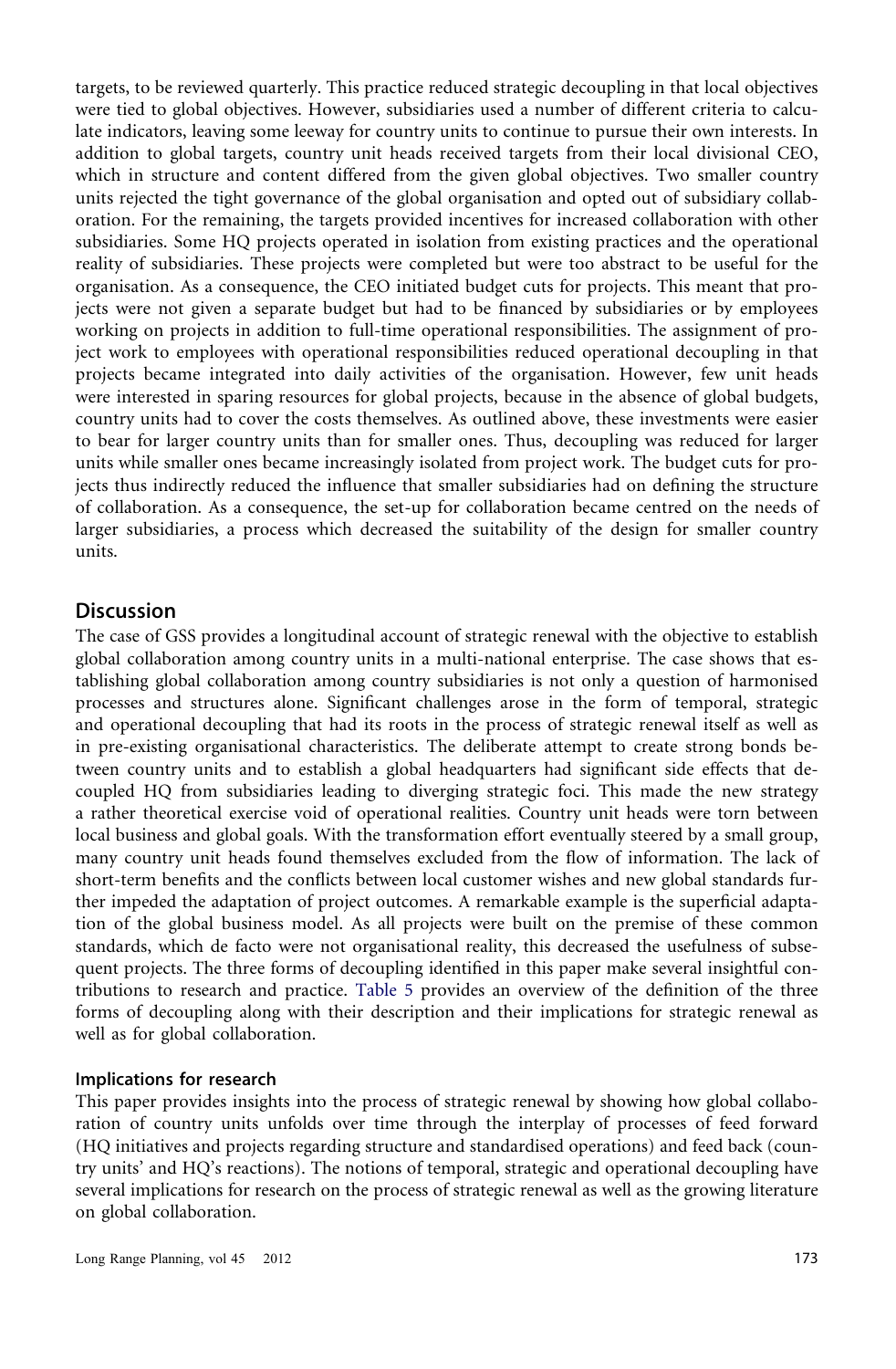targets, to be reviewed quarterly. This practice reduced strategic decoupling in that local objectives were tied to global objectives. However, subsidiaries used a number of different criteria to calculate indicators, leaving some leeway for country units to continue to pursue their own interests. In addition to global targets, country unit heads received targets from their local divisional CEO, which in structure and content differed from the given global objectives. Two smaller country units rejected the tight governance of the global organisation and opted out of subsidiary collaboration. For the remaining, the targets provided incentives for increased collaboration with other subsidiaries. Some HQ projects operated in isolation from existing practices and the operational reality of subsidiaries. These projects were completed but were too abstract to be useful for the organisation. As a consequence, the CEO initiated budget cuts for projects. This meant that projects were not given a separate budget but had to be financed by subsidiaries or by employees working on projects in addition to full-time operational responsibilities. The assignment of project work to employees with operational responsibilities reduced operational decoupling in that projects became integrated into daily activities of the organisation. However, few unit heads were interested in sparing resources for global projects, because in the absence of global budgets, country units had to cover the costs themselves. As outlined above, these investments were easier to bear for larger country units than for smaller ones. Thus, decoupling was reduced for larger units while smaller ones became increasingly isolated from project work. The budget cuts for projects thus indirectly reduced the influence that smaller subsidiaries had on defining the structure of collaboration. As a consequence, the set-up for collaboration became centred on the needs of larger subsidiaries, a process which decreased the suitability of the design for smaller country units.

#### **Discussion**

The case of GSS provides a longitudinal account of strategic renewal with the objective to establish global collaboration among country units in a multi-national enterprise. The case shows that establishing global collaboration among country subsidiaries is not only a question of harmonised processes and structures alone. Significant challenges arose in the form of temporal, strategic and operational decoupling that had its roots in the process of strategic renewal itself as well as in pre-existing organisational characteristics. The deliberate attempt to create strong bonds between country units and to establish a global headquarters had significant side effects that decoupled HQ from subsidiaries leading to diverging strategic foci. This made the new strategy a rather theoretical exercise void of operational realities. Country unit heads were torn between local business and global goals. With the transformation effort eventually steered by a small group, many country unit heads found themselves excluded from the flow of information. The lack of short-term benefits and the conflicts between local customer wishes and new global standards further impeded the adaptation of project outcomes. A remarkable example is the superficial adaptation of the global business model. As all projects were built on the premise of these common standards, which de facto were not organisational reality, this decreased the usefulness of subsequent projects. The three forms of decoupling identified in this paper make several insightful contributions to research and practice. [Table 5](#page-14-0) provides an overview of the definition of the three forms of decoupling along with their description and their implications for strategic renewal as well as for global collaboration.

#### Implications for research

This paper provides insights into the process of strategic renewal by showing how global collaboration of country units unfolds over time through the interplay of processes of feed forward (HQ initiatives and projects regarding structure and standardised operations) and feed back (country units' and HQ's reactions). The notions of temporal, strategic and operational decoupling have several implications for research on the process of strategic renewal as well as the growing literature on global collaboration.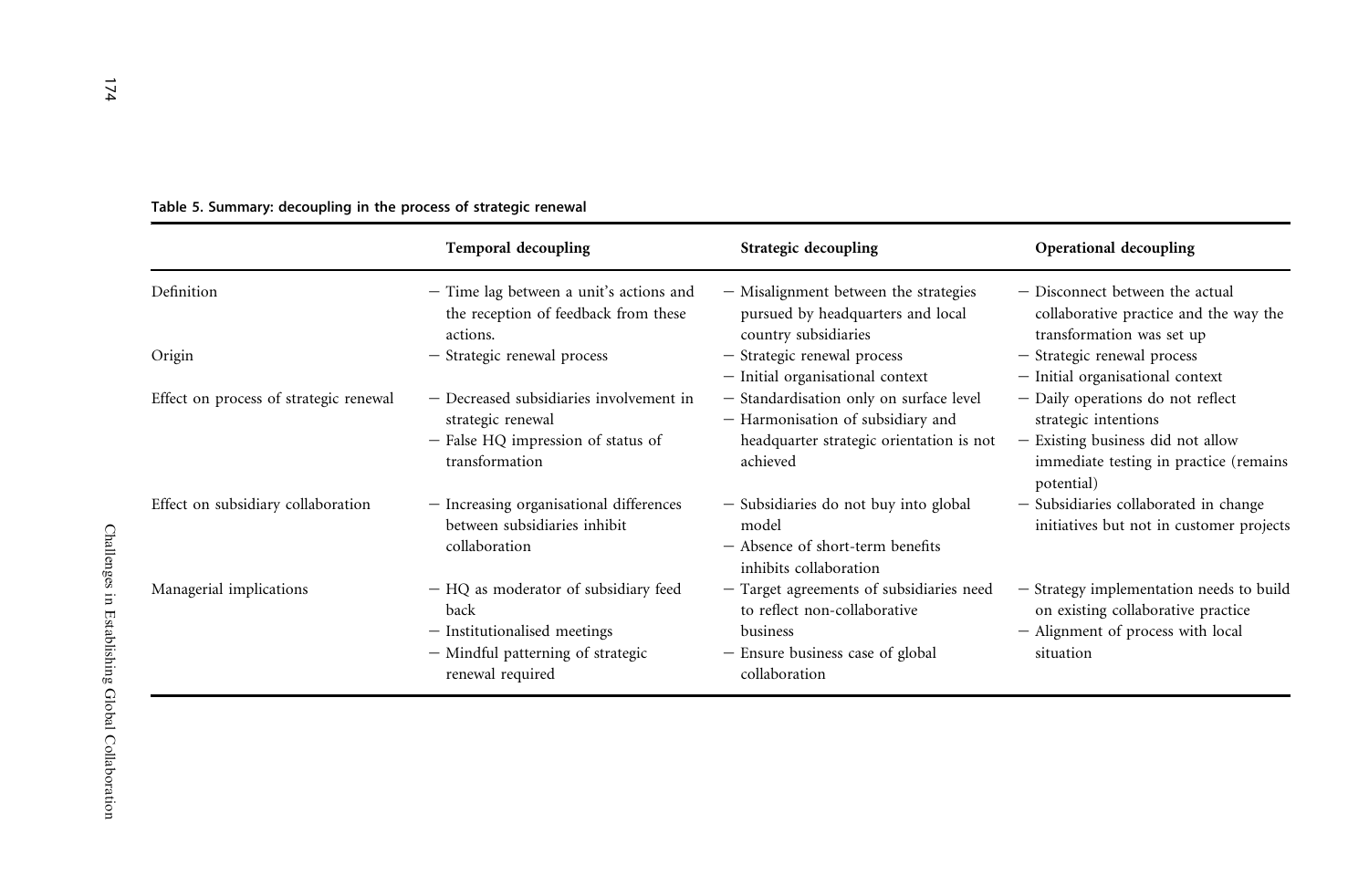|                                        | <b>Temporal decoupling</b>                                                                                                            | Strategic decoupling                                                                                                                      | Operational decoupling                                                                                                                                  |
|----------------------------------------|---------------------------------------------------------------------------------------------------------------------------------------|-------------------------------------------------------------------------------------------------------------------------------------------|---------------------------------------------------------------------------------------------------------------------------------------------------------|
| Definition                             | - Time lag between a unit's actions and<br>the reception of feedback from these<br>actions.                                           | - Misalignment between the strategies<br>pursued by headquarters and local<br>country subsidiaries                                        | - Disconnect between the actual<br>collaborative practice and the way the<br>transformation was set up                                                  |
| Origin                                 | - Strategic renewal process                                                                                                           | - Strategic renewal process<br>- Initial organisational context                                                                           | - Strategic renewal process<br>- Initial organisational context                                                                                         |
| Effect on process of strategic renewal | - Decreased subsidiaries involvement in<br>strategic renewal<br>- False HQ impression of status of<br>transformation                  | - Standardisation only on surface level<br>- Harmonisation of subsidiary and<br>headquarter strategic orientation is not<br>achieved      | - Daily operations do not reflect<br>strategic intentions<br>- Existing business did not allow<br>immediate testing in practice (remains)<br>potential) |
| Effect on subsidiary collaboration     | - Increasing organisational differences<br>between subsidiaries inhibit<br>collaboration                                              | - Subsidiaries do not buy into global<br>model<br>- Absence of short-term benefits<br>inhibits collaboration                              | - Subsidiaries collaborated in change<br>initiatives but not in customer projects                                                                       |
| Managerial implications                | - HQ as moderator of subsidiary feed<br>back<br>- Institutionalised meetings<br>- Mindful patterning of strategic<br>renewal required | - Target agreements of subsidiaries need<br>to reflect non-collaborative<br>business<br>- Ensure business case of global<br>collaboration | - Strategy implementation needs to build<br>on existing collaborative practice<br>- Alignment of process with local<br>situation                        |

<span id="page-14-0"></span>Table 5. Summary: decoupling in the process of strategic renewal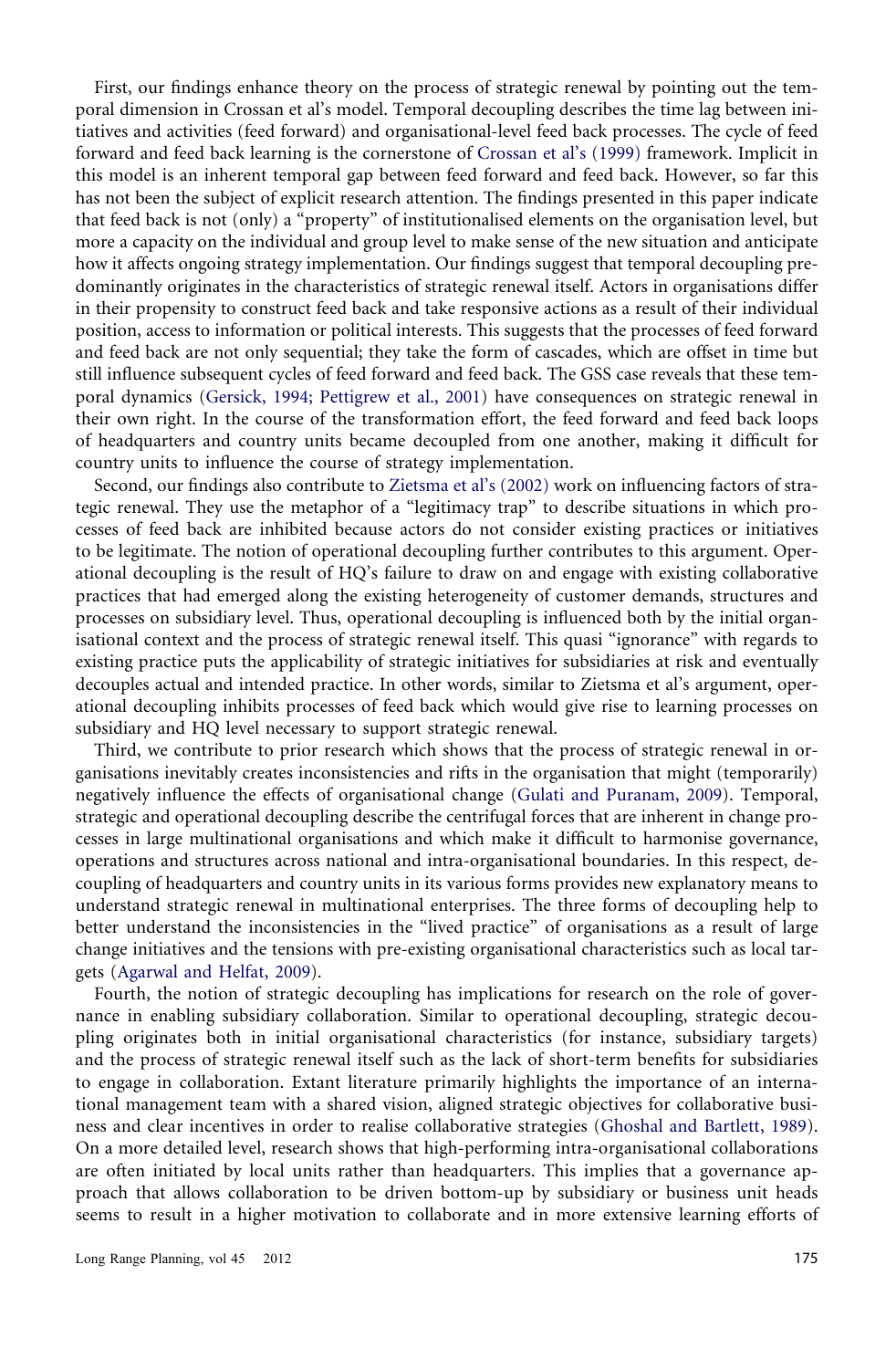First, our findings enhance theory on the process of strategic renewal by pointing out the temporal dimension in Crossan et al's model. Temporal decoupling describes the time lag between initiatives and activities (feed forward) and organisational-level feed back processes. The cycle of feed forward and feed back learning is the cornerstone of [Crossan et al's \(1999\)](#page-19-0) framework. Implicit in this model is an inherent temporal gap between feed forward and feed back. However, so far this has not been the subject of explicit research attention. The findings presented in this paper indicate that feed back is not (only) a "property" of institutionalised elements on the organisation level, but more a capacity on the individual and group level to make sense of the new situation and anticipate how it affects ongoing strategy implementation. Our findings suggest that temporal decoupling predominantly originates in the characteristics of strategic renewal itself. Actors in organisations differ in their propensity to construct feed back and take responsive actions as a result of their individual position, access to information or political interests. This suggests that the processes of feed forward and feed back are not only sequential; they take the form of cascades, which are offset in time but still influence subsequent cycles of feed forward and feed back. The GSS case reveals that these temporal dynamics [\(Gersick, 1994; Pettigrew et al., 2001\)](#page-20-0) have consequences on strategic renewal in their own right. In the course of the transformation effort, the feed forward and feed back loops of headquarters and country units became decoupled from one another, making it difficult for country units to influence the course of strategy implementation.

Second, our findings also contribute to [Zietsma et al's \(2002\)](#page-21-0) work on influencing factors of strategic renewal. They use the metaphor of a "legitimacy trap" to describe situations in which processes of feed back are inhibited because actors do not consider existing practices or initiatives to be legitimate. The notion of operational decoupling further contributes to this argument. Operational decoupling is the result of HQ's failure to draw on and engage with existing collaborative practices that had emerged along the existing heterogeneity of customer demands, structures and processes on subsidiary level. Thus, operational decoupling is influenced both by the initial organisational context and the process of strategic renewal itself. This quasi "ignorance" with regards to existing practice puts the applicability of strategic initiatives for subsidiaries at risk and eventually decouples actual and intended practice. In other words, similar to Zietsma et al's argument, operational decoupling inhibits processes of feed back which would give rise to learning processes on subsidiary and HQ level necessary to support strategic renewal.

Third, we contribute to prior research which shows that the process of strategic renewal in organisations inevitably creates inconsistencies and rifts in the organisation that might (temporarily) negatively influence the effects of organisational change ([Gulati and Puranam, 2009\)](#page-20-0). Temporal, strategic and operational decoupling describe the centrifugal forces that are inherent in change processes in large multinational organisations and which make it difficult to harmonise governance, operations and structures across national and intra-organisational boundaries. In this respect, decoupling of headquarters and country units in its various forms provides new explanatory means to understand strategic renewal in multinational enterprises. The three forms of decoupling help to better understand the inconsistencies in the "lived practice" of organisations as a result of large change initiatives and the tensions with pre-existing organisational characteristics such as local targets [\(Agarwal and Helfat, 2009\)](#page-19-0).

Fourth, the notion of strategic decoupling has implications for research on the role of governance in enabling subsidiary collaboration. Similar to operational decoupling, strategic decoupling originates both in initial organisational characteristics (for instance, subsidiary targets) and the process of strategic renewal itself such as the lack of short-term benefits for subsidiaries to engage in collaboration. Extant literature primarily highlights the importance of an international management team with a shared vision, aligned strategic objectives for collaborative business and clear incentives in order to realise collaborative strategies ([Ghoshal and Bartlett, 1989\)](#page-20-0). On a more detailed level, research shows that high-performing intra-organisational collaborations are often initiated by local units rather than headquarters. This implies that a governance approach that allows collaboration to be driven bottom-up by subsidiary or business unit heads seems to result in a higher motivation to collaborate and in more extensive learning efforts of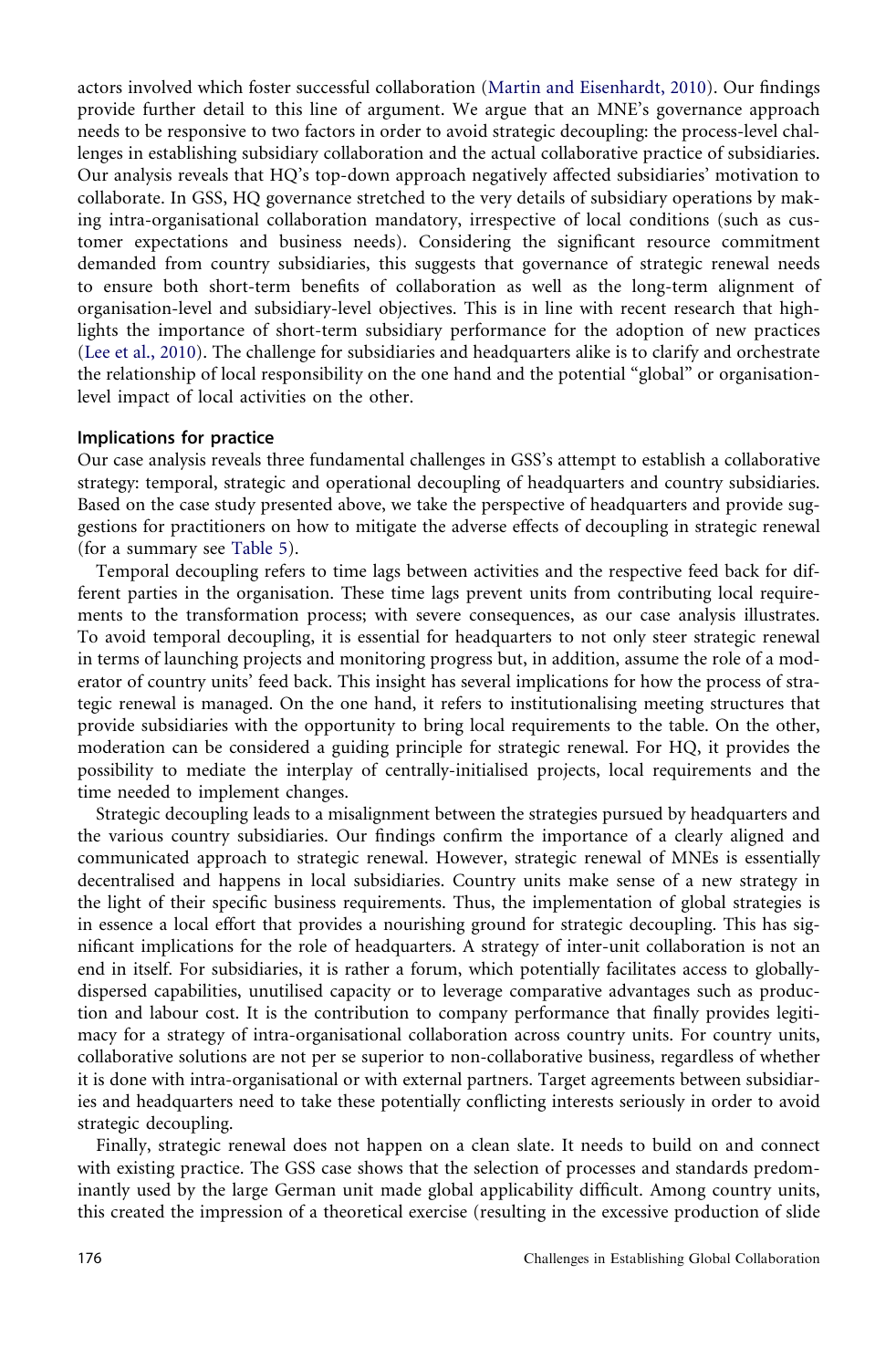actors involved which foster successful collaboration ([Martin and Eisenhardt, 2010\)](#page-20-0). Our findings provide further detail to this line of argument. We argue that an MNE's governance approach needs to be responsive to two factors in order to avoid strategic decoupling: the process-level challenges in establishing subsidiary collaboration and the actual collaborative practice of subsidiaries. Our analysis reveals that HQ's top-down approach negatively affected subsidiaries' motivation to collaborate. In GSS, HQ governance stretched to the very details of subsidiary operations by making intra-organisational collaboration mandatory, irrespective of local conditions (such as customer expectations and business needs). Considering the significant resource commitment demanded from country subsidiaries, this suggests that governance of strategic renewal needs to ensure both short-term benefits of collaboration as well as the long-term alignment of organisation-level and subsidiary-level objectives. This is in line with recent research that highlights the importance of short-term subsidiary performance for the adoption of new practices ([Lee et al., 2010](#page-20-0)). The challenge for subsidiaries and headquarters alike is to clarify and orchestrate the relationship of local responsibility on the one hand and the potential "global" or organisationlevel impact of local activities on the other.

#### Implications for practice

Our case analysis reveals three fundamental challenges in GSS's attempt to establish a collaborative strategy: temporal, strategic and operational decoupling of headquarters and country subsidiaries. Based on the case study presented above, we take the perspective of headquarters and provide suggestions for practitioners on how to mitigate the adverse effects of decoupling in strategic renewal (for a summary see [Table 5](#page-14-0)).

Temporal decoupling refers to time lags between activities and the respective feed back for different parties in the organisation. These time lags prevent units from contributing local requirements to the transformation process; with severe consequences, as our case analysis illustrates. To avoid temporal decoupling, it is essential for headquarters to not only steer strategic renewal in terms of launching projects and monitoring progress but, in addition, assume the role of a moderator of country units' feed back. This insight has several implications for how the process of strategic renewal is managed. On the one hand, it refers to institutionalising meeting structures that provide subsidiaries with the opportunity to bring local requirements to the table. On the other, moderation can be considered a guiding principle for strategic renewal. For HQ, it provides the possibility to mediate the interplay of centrally-initialised projects, local requirements and the time needed to implement changes.

Strategic decoupling leads to a misalignment between the strategies pursued by headquarters and the various country subsidiaries. Our findings confirm the importance of a clearly aligned and communicated approach to strategic renewal. However, strategic renewal of MNEs is essentially decentralised and happens in local subsidiaries. Country units make sense of a new strategy in the light of their specific business requirements. Thus, the implementation of global strategies is in essence a local effort that provides a nourishing ground for strategic decoupling. This has significant implications for the role of headquarters. A strategy of inter-unit collaboration is not an end in itself. For subsidiaries, it is rather a forum, which potentially facilitates access to globallydispersed capabilities, unutilised capacity or to leverage comparative advantages such as production and labour cost. It is the contribution to company performance that finally provides legitimacy for a strategy of intra-organisational collaboration across country units. For country units, collaborative solutions are not per se superior to non-collaborative business, regardless of whether it is done with intra-organisational or with external partners. Target agreements between subsidiaries and headquarters need to take these potentially conflicting interests seriously in order to avoid strategic decoupling.

Finally, strategic renewal does not happen on a clean slate. It needs to build on and connect with existing practice. The GSS case shows that the selection of processes and standards predominantly used by the large German unit made global applicability difficult. Among country units, this created the impression of a theoretical exercise (resulting in the excessive production of slide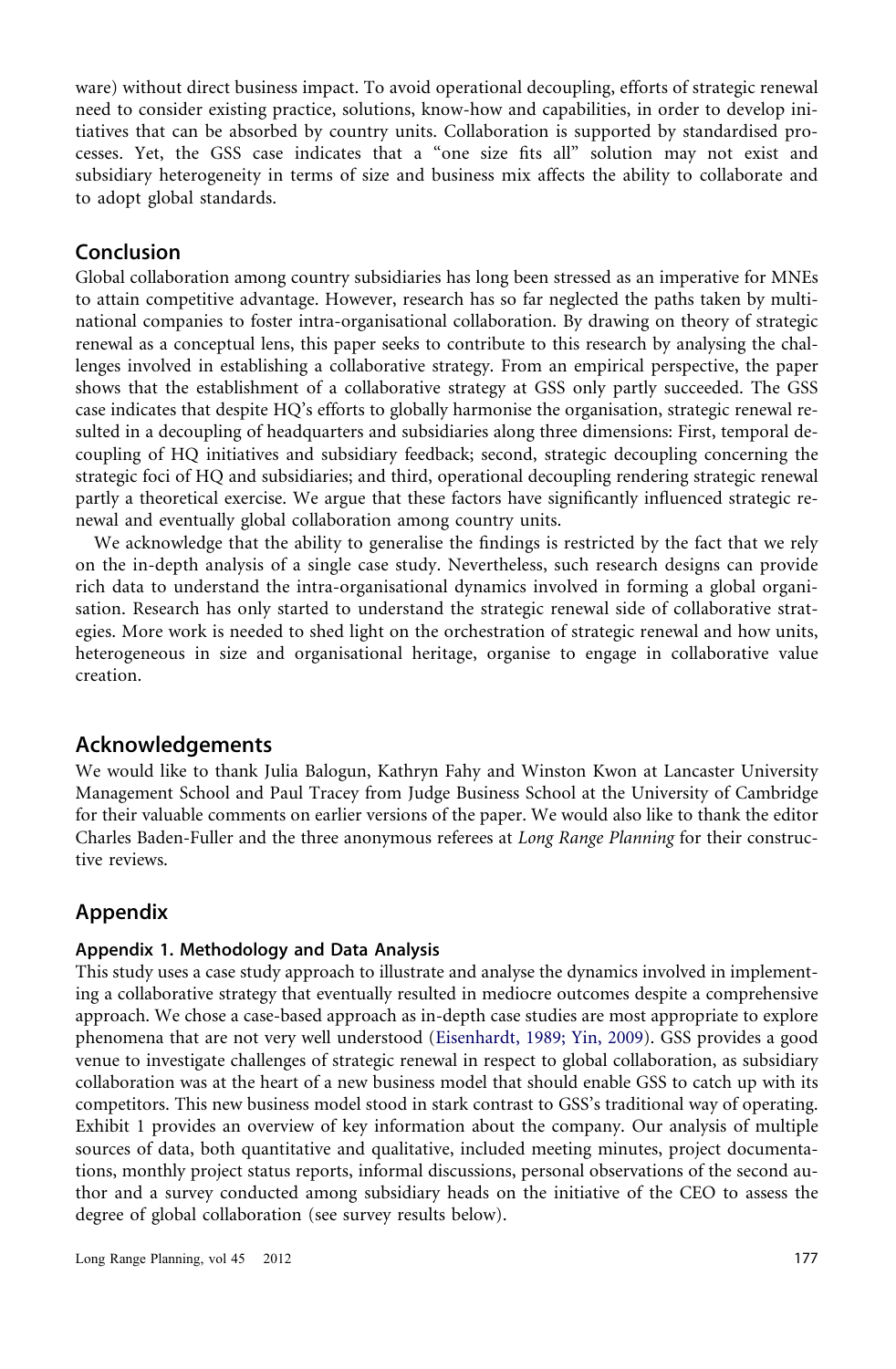ware) without direct business impact. To avoid operational decoupling, efforts of strategic renewal need to consider existing practice, solutions, know-how and capabilities, in order to develop initiatives that can be absorbed by country units. Collaboration is supported by standardised processes. Yet, the GSS case indicates that a "one size fits all" solution may not exist and subsidiary heterogeneity in terms of size and business mix affects the ability to collaborate and to adopt global standards.

## Conclusion

Global collaboration among country subsidiaries has long been stressed as an imperative for MNEs to attain competitive advantage. However, research has so far neglected the paths taken by multinational companies to foster intra-organisational collaboration. By drawing on theory of strategic renewal as a conceptual lens, this paper seeks to contribute to this research by analysing the challenges involved in establishing a collaborative strategy. From an empirical perspective, the paper shows that the establishment of a collaborative strategy at GSS only partly succeeded. The GSS case indicates that despite HQ's efforts to globally harmonise the organisation, strategic renewal resulted in a decoupling of headquarters and subsidiaries along three dimensions: First, temporal decoupling of HQ initiatives and subsidiary feedback; second, strategic decoupling concerning the strategic foci of HQ and subsidiaries; and third, operational decoupling rendering strategic renewal partly a theoretical exercise. We argue that these factors have significantly influenced strategic renewal and eventually global collaboration among country units.

We acknowledge that the ability to generalise the findings is restricted by the fact that we rely on the in-depth analysis of a single case study. Nevertheless, such research designs can provide rich data to understand the intra-organisational dynamics involved in forming a global organisation. Research has only started to understand the strategic renewal side of collaborative strategies. More work is needed to shed light on the orchestration of strategic renewal and how units, heterogeneous in size and organisational heritage, organise to engage in collaborative value creation.

## Acknowledgements

We would like to thank Julia Balogun, Kathryn Fahy and Winston Kwon at Lancaster University Management School and Paul Tracey from Judge Business School at the University of Cambridge for their valuable comments on earlier versions of the paper. We would also like to thank the editor Charles Baden-Fuller and the three anonymous referees at Long Range Planning for their constructive reviews.

## Appendix

#### Appendix 1. Methodology and Data Analysis

This study uses a case study approach to illustrate and analyse the dynamics involved in implementing a collaborative strategy that eventually resulted in mediocre outcomes despite a comprehensive approach. We chose a case-based approach as in-depth case studies are most appropriate to explore phenomena that are not very well understood [\(Eisenhardt, 1989; Yin, 2009](#page-20-0)). GSS provides a good venue to investigate challenges of strategic renewal in respect to global collaboration, as subsidiary collaboration was at the heart of a new business model that should enable GSS to catch up with its competitors. This new business model stood in stark contrast to GSS's traditional way of operating. Exhibit 1 provides an overview of key information about the company. Our analysis of multiple sources of data, both quantitative and qualitative, included meeting minutes, project documentations, monthly project status reports, informal discussions, personal observations of the second author and a survey conducted among subsidiary heads on the initiative of the CEO to assess the degree of global collaboration (see survey results below).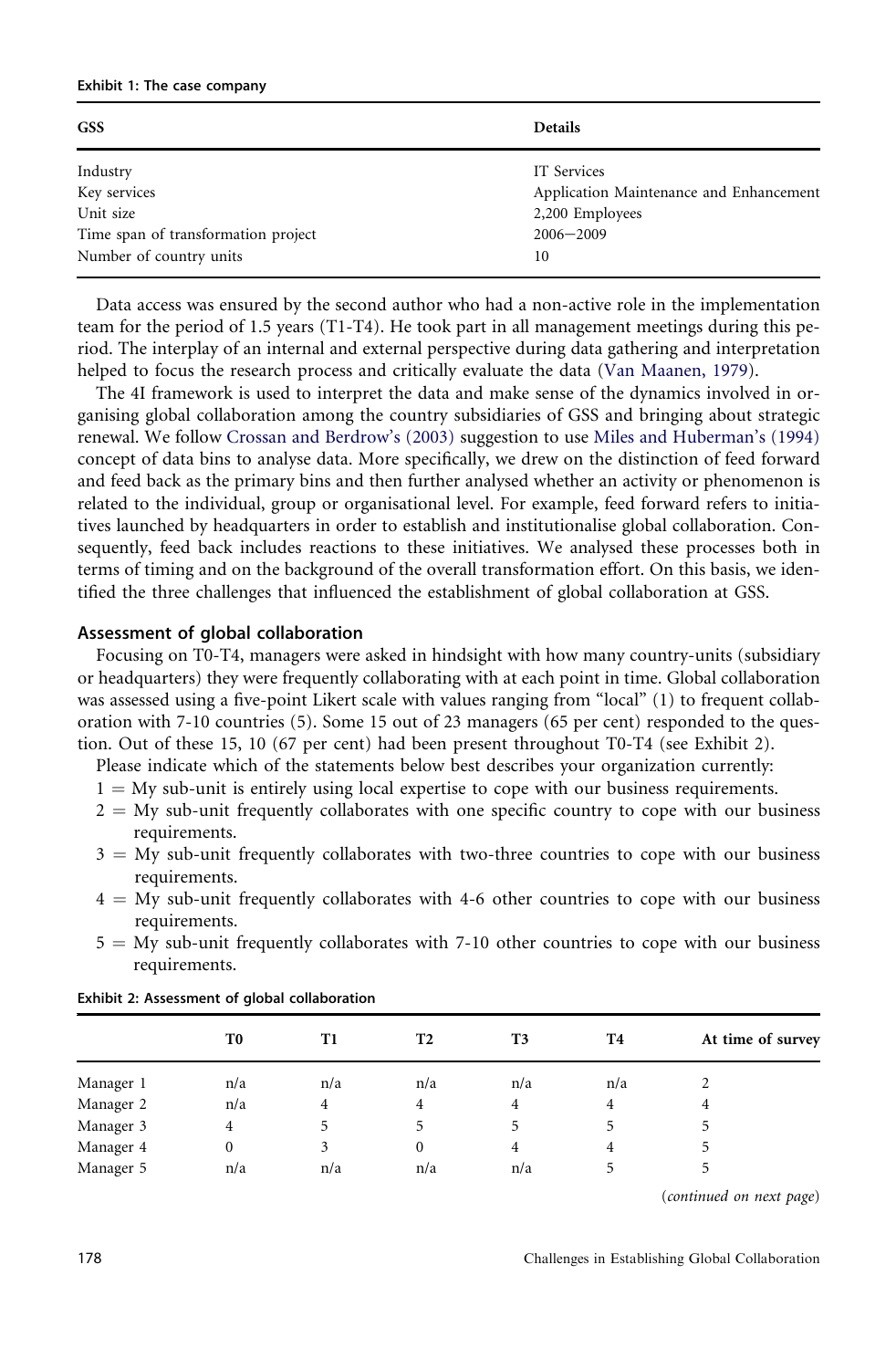#### Exhibit 1: The case company

| <b>GSS</b>                          | <b>Details</b>                          |
|-------------------------------------|-----------------------------------------|
| Industry                            | <b>IT</b> Services                      |
| Key services                        | Application Maintenance and Enhancement |
| Unit size                           | 2,200 Employees                         |
| Time span of transformation project | $2006 - 2009$                           |
| Number of country units             | 10                                      |

Data access was ensured by the second author who had a non-active role in the implementation team for the period of 1.5 years (T1-T4). He took part in all management meetings during this period. The interplay of an internal and external perspective during data gathering and interpretation helped to focus the research process and critically evaluate the data [\(Van Maanen, 1979](#page-20-0)).

The 4I framework is used to interpret the data and make sense of the dynamics involved in organising global collaboration among the country subsidiaries of GSS and bringing about strategic renewal. We follow [Crossan and Berdrow's \(2003\)](#page-20-0) suggestion to use [Miles and Huberman's \(1994\)](#page-20-0) concept of data bins to analyse data. More specifically, we drew on the distinction of feed forward and feed back as the primary bins and then further analysed whether an activity or phenomenon is related to the individual, group or organisational level. For example, feed forward refers to initiatives launched by headquarters in order to establish and institutionalise global collaboration. Consequently, feed back includes reactions to these initiatives. We analysed these processes both in terms of timing and on the background of the overall transformation effort. On this basis, we identified the three challenges that influenced the establishment of global collaboration at GSS.

#### Assessment of global collaboration

Focusing on T0-T4, managers were asked in hindsight with how many country-units (subsidiary or headquarters) they were frequently collaborating with at each point in time. Global collaboration was assessed using a five-point Likert scale with values ranging from "local" (1) to frequent collaboration with 7-10 countries (5). Some 15 out of 23 managers (65 per cent) responded to the question. Out of these 15, 10 (67 per cent) had been present throughout T0-T4 (see Exhibit 2).

Please indicate which of the statements below best describes your organization currently:

 $1 - My$  sub-unit is entirely using local expertise to cope with our business requirements.

- $2 My$  sub-unit frequently collaborates with one specific country to cope with our business requirements.
- $3 = My$  sub-unit frequently collaborates with two-three countries to cope with our business requirements.
- $4 = My$  sub-unit frequently collaborates with 4-6 other countries to cope with our business requirements.
- $5 My$  sub-unit frequently collaborates with 7-10 other countries to cope with our business requirements.

|           | T <sub>0</sub> | T1  | T <sub>2</sub> | T3  | T4  | At time of survey |
|-----------|----------------|-----|----------------|-----|-----|-------------------|
| Manager 1 | n/a            | n/a | n/a            | n/a | n/a |                   |
| Manager 2 | n/a            | 4   | 4              | 4   | 4   | 4                 |
| Manager 3 | 4              | 5   | 5              | 5   | 5   |                   |
| Manager 4 | 0              | 3   | 0              | 4   | 4   |                   |
| Manager 5 | n/a            | n/a | n/a            | n/a | 5   |                   |

|  |  |  | Exhibit 2: Assessment of global collaboration |  |  |  |  |  |  |  |  |
|--|--|--|-----------------------------------------------|--|--|--|--|--|--|--|--|
|--|--|--|-----------------------------------------------|--|--|--|--|--|--|--|--|

(continued on next page)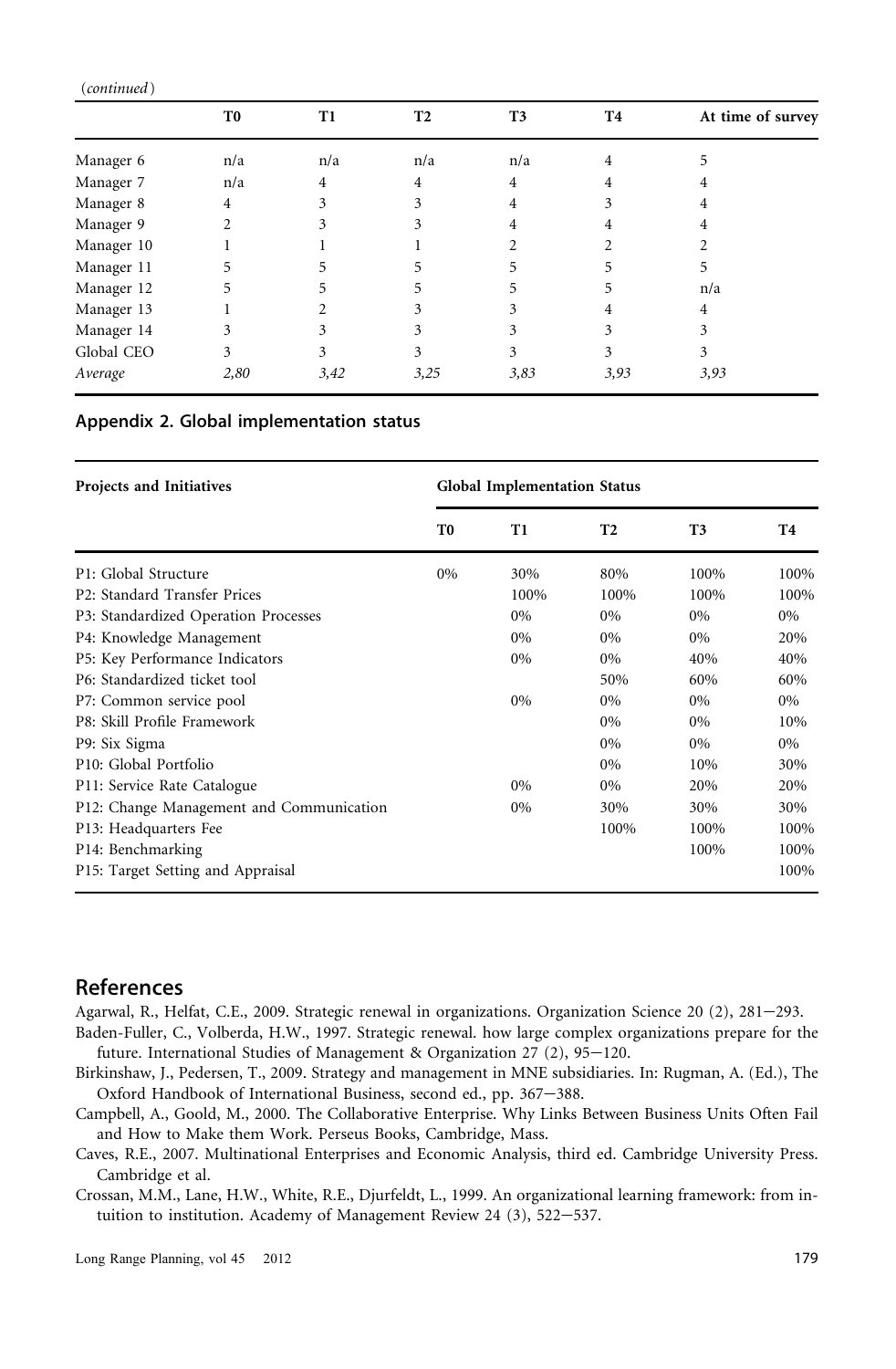#### <span id="page-19-0"></span>(continued)

|            | T0   | T1   | T2   | T <sub>3</sub> | T4   | At time of survey |
|------------|------|------|------|----------------|------|-------------------|
| Manager 6  | n/a  | n/a  | n/a  | n/a            | 4    |                   |
| Manager 7  | n/a  | 4    | 4    | 4              | 4    | 4                 |
| Manager 8  | 4    | 3    | 3    | 4              | 3    | 4                 |
| Manager 9  | 2    | 3    | 3    | 4              | 4    | 4                 |
| Manager 10 |      |      |      |                |      | $\mathfrak{D}$    |
| Manager 11 | 5    |      | 5    |                |      | ר                 |
| Manager 12 | 5    | 5    | 5    |                |      | n/a               |
| Manager 13 |      |      | 3    | 3              | 4    | 4                 |
| Manager 14 | 3    | 3    | 3    |                | 3    | 3                 |
| Global CEO | 3    | 3    | 3    | 3              | 3    | 3                 |
| Average    | 2,80 | 3,42 | 3,25 | 3,83           | 3,93 | 3,93              |

#### Appendix 2. Global implementation status

| <b>Projects and Initiatives</b>          | <b>Global Implementation Status</b> |      |           |       |       |  |  |
|------------------------------------------|-------------------------------------|------|-----------|-------|-------|--|--|
|                                          | T0                                  | T1   | <b>T2</b> | T3    | T4    |  |  |
| P1: Global Structure                     | 0%                                  | 30%  | 80%       | 100%  | 100%  |  |  |
| P2: Standard Transfer Prices             |                                     | 100% | 100%      | 100%  | 100%  |  |  |
| P3: Standardized Operation Processes     |                                     | 0%   | $0\%$     | $0\%$ | $0\%$ |  |  |
| P4: Knowledge Management                 |                                     | 0%   | $0\%$     | 0%    | 20%   |  |  |
| P5: Key Performance Indicators           |                                     | 0%   | $0\%$     | 40%   | 40%   |  |  |
| P6: Standardized ticket tool             |                                     |      | 50%       | 60%   | 60%   |  |  |
| P7: Common service pool                  |                                     | 0%   | $0\%$     | $0\%$ | $0\%$ |  |  |
| P8: Skill Profile Framework              |                                     |      | $0\%$     | $0\%$ | 10%   |  |  |
| P9: Six Sigma                            |                                     |      | 0%        | $0\%$ | $0\%$ |  |  |
| P <sub>10</sub> : Global Portfolio       |                                     |      | 0%        | 10%   | 30%   |  |  |
| P11: Service Rate Catalogue              |                                     | 0%   | $0\%$     | 20%   | 20%   |  |  |
| P12: Change Management and Communication |                                     | 0%   | 30%       | 30%   | 30%   |  |  |
| P13: Headquarters Fee                    |                                     |      | 100%      | 100%  | 100%  |  |  |
| P14: Benchmarking                        |                                     |      |           | 100%  | 100%  |  |  |
| P15: Target Setting and Appraisal        |                                     |      |           |       | 100%  |  |  |

## References

Agarwal, R., Helfat, C.E., 2009. Strategic renewal in organizations. Organization Science 20 (2), 281-293.

Baden-Fuller, C., Volberda, H.W., 1997. Strategic renewal. how large complex organizations prepare for the future. International Studies of Management & Organization  $27$  (2),  $95-120$ .

Birkinshaw, J., Pedersen, T., 2009. Strategy and management in MNE subsidiaries. In: Rugman, A. (Ed.), The Oxford Handbook of International Business, second ed., pp. 367-388.

Campbell, A., Goold, M., 2000. The Collaborative Enterprise. Why Links Between Business Units Often Fail and How to Make them Work. Perseus Books, Cambridge, Mass.

Caves, R.E., 2007. Multinational Enterprises and Economic Analysis, third ed. Cambridge University Press. Cambridge et al.

Crossan, M.M., Lane, H.W., White, R.E., Djurfeldt, L., 1999. An organizational learning framework: from intuition to institution. Academy of Management Review 24  $(3)$ , 522-537.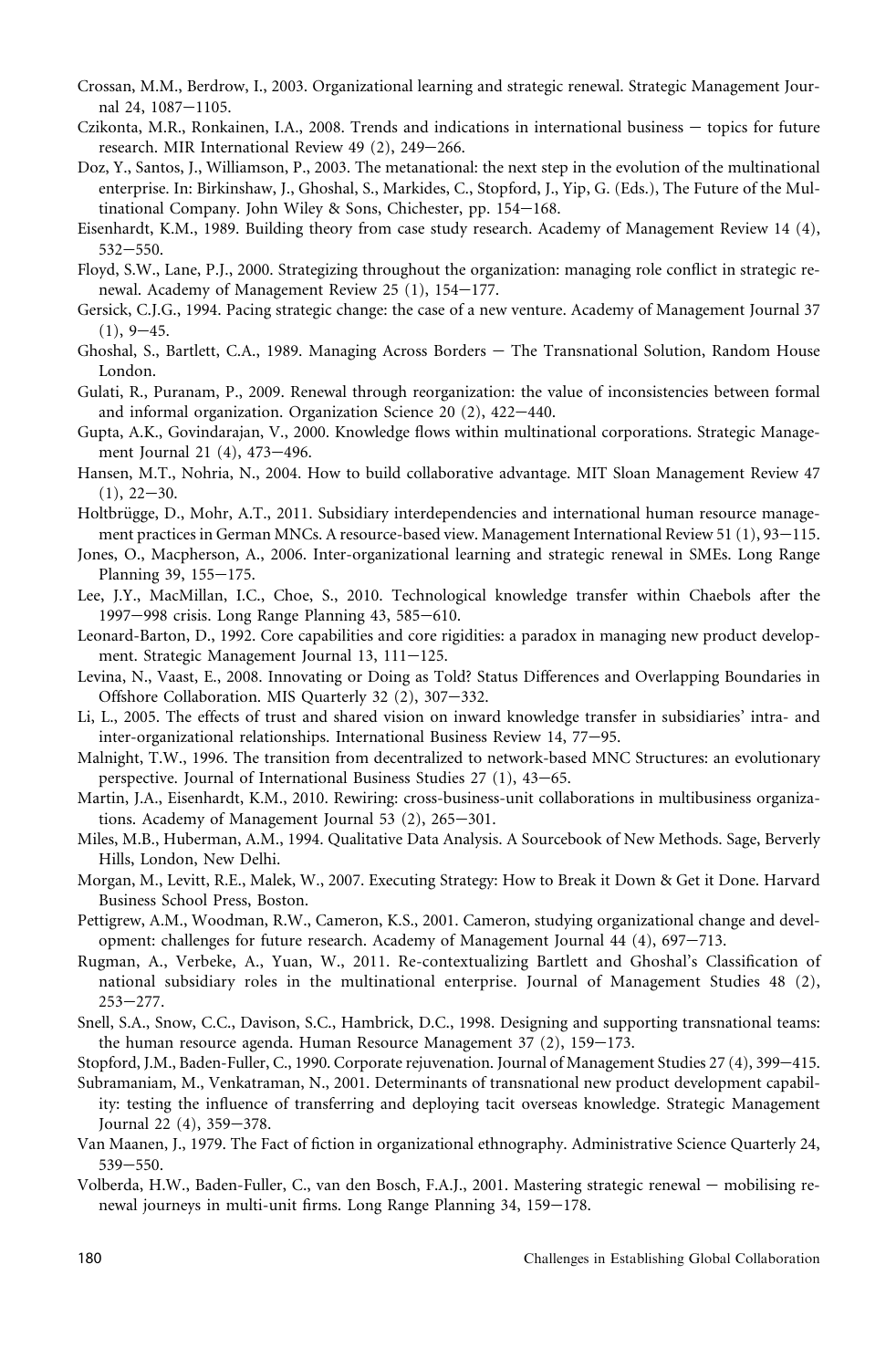- <span id="page-20-0"></span>Crossan, M.M., Berdrow, I., 2003. Organizational learning and strategic renewal. Strategic Management Journal 24, 1087-1105.
- Czikonta, M.R., Ronkainen, I.A., 2008. Trends and indications in international business topics for future research. MIR International Review 49  $(2)$ , 249-266.
- Doz, Y., Santos, J., Williamson, P., 2003. The metanational: the next step in the evolution of the multinational enterprise. In: Birkinshaw, J., Ghoshal, S., Markides, C., Stopford, J., Yip, G. (Eds.), The Future of the Multinational Company. John Wiley & Sons, Chichester, pp.  $154-168$ .
- Eisenhardt, K.M., 1989. Building theory from case study research. Academy of Management Review 14 (4),  $532 - 550$ .
- Floyd, S.W., Lane, P.J., 2000. Strategizing throughout the organization: managing role conflict in strategic renewal. Academy of Management Review  $25(1)$ ,  $154-177$ .
- Gersick, C.J.G., 1994. Pacing strategic change: the case of a new venture. Academy of Management Journal 37  $(1), 9-45.$
- Ghoshal, S., Bartlett, C.A., 1989. Managing Across Borders The Transnational Solution, Random House London.
- Gulati, R., Puranam, P., 2009. Renewal through reorganization: the value of inconsistencies between formal and informal organization. Organization Science 20  $(2)$ , 422-440.
- Gupta, A.K., Govindarajan, V., 2000. Knowledge flows within multinational corporations. Strategic Management Journal 21 (4), 473-496.
- Hansen, M.T., Nohria, N., 2004. How to build collaborative advantage. MIT Sloan Management Review 47  $(1), 22 - 30.$
- Holtbrügge, D., Mohr, A.T., 2011. Subsidiary interdependencies and international human resource management practices in German MNCs. A resource-based view. Management International Review 51 (1), 93–115.
- Jones, O., Macpherson, A., 2006. Inter-organizational learning and strategic renewal in SMEs. Long Range Planning 39,  $155 - 175$ .
- Lee, J.Y., MacMillan, I.C., Choe, S., 2010. Technological knowledge transfer within Chaebols after the 1997-998 crisis. Long Range Planning 43, 585-610.
- Leonard-Barton, D., 1992. Core capabilities and core rigidities: a paradox in managing new product development. Strategic Management Journal  $13$ ,  $111-125$ .
- Levina, N., Vaast, E., 2008. Innovating or Doing as Told? Status Differences and Overlapping Boundaries in Offshore Collaboration. MIS Quarterly 32 $(2)$ , 307-332.
- Li, L., 2005. The effects of trust and shared vision on inward knowledge transfer in subsidiaries' intra- and inter-organizational relationships. International Business Review 14, 77-95.
- Malnight, T.W., 1996. The transition from decentralized to network-based MNC Structures: an evolutionary perspective. Journal of International Business Studies  $27(1)$ ,  $43-65$ .
- Martin, J.A., Eisenhardt, K.M., 2010. Rewiring: cross-business-unit collaborations in multibusiness organizations. Academy of Management Journal 53 $(2)$ , 265-301.
- Miles, M.B., Huberman, A.M., 1994. Qualitative Data Analysis. A Sourcebook of New Methods. Sage, Berverly Hills, London, New Delhi.
- Morgan, M., Levitt, R.E., Malek, W., 2007. Executing Strategy: How to Break it Down & Get it Done. Harvard Business School Press, Boston.
- Pettigrew, A.M., Woodman, R.W., Cameron, K.S., 2001. Cameron, studying organizational change and development: challenges for future research. Academy of Management Journal 44 (4), 697-713.
- Rugman, A., Verbeke, A., Yuan, W., 2011. Re-contextualizing Bartlett and Ghoshal's Classification of national subsidiary roles in the multinational enterprise. Journal of Management Studies 48 (2),  $253 - 277$ .
- Snell, S.A., Snow, C.C., Davison, S.C., Hambrick, D.C., 1998. Designing and supporting transnational teams: the human resource agenda. Human Resource Management  $37$  (2),  $159-173$ .

Stopford, J.M., Baden-Fuller, C., 1990. Corporate rejuvenation. Journal of Management Studies 27 (4), 399-415.

- Subramaniam, M., Venkatraman, N., 2001. Determinants of transnational new product development capability: testing the influence of transferring and deploying tacit overseas knowledge. Strategic Management Journal 22 (4), 359-378.
- Van Maanen, J., 1979. The Fact of fiction in organizational ethnography. Administrative Science Quarterly 24,  $539 - 550.$
- Volberda, H.W., Baden-Fuller, C., van den Bosch, F.A.J., 2001. Mastering strategic renewal mobilising renewal journeys in multi-unit firms. Long Range Planning 34, 159-178.